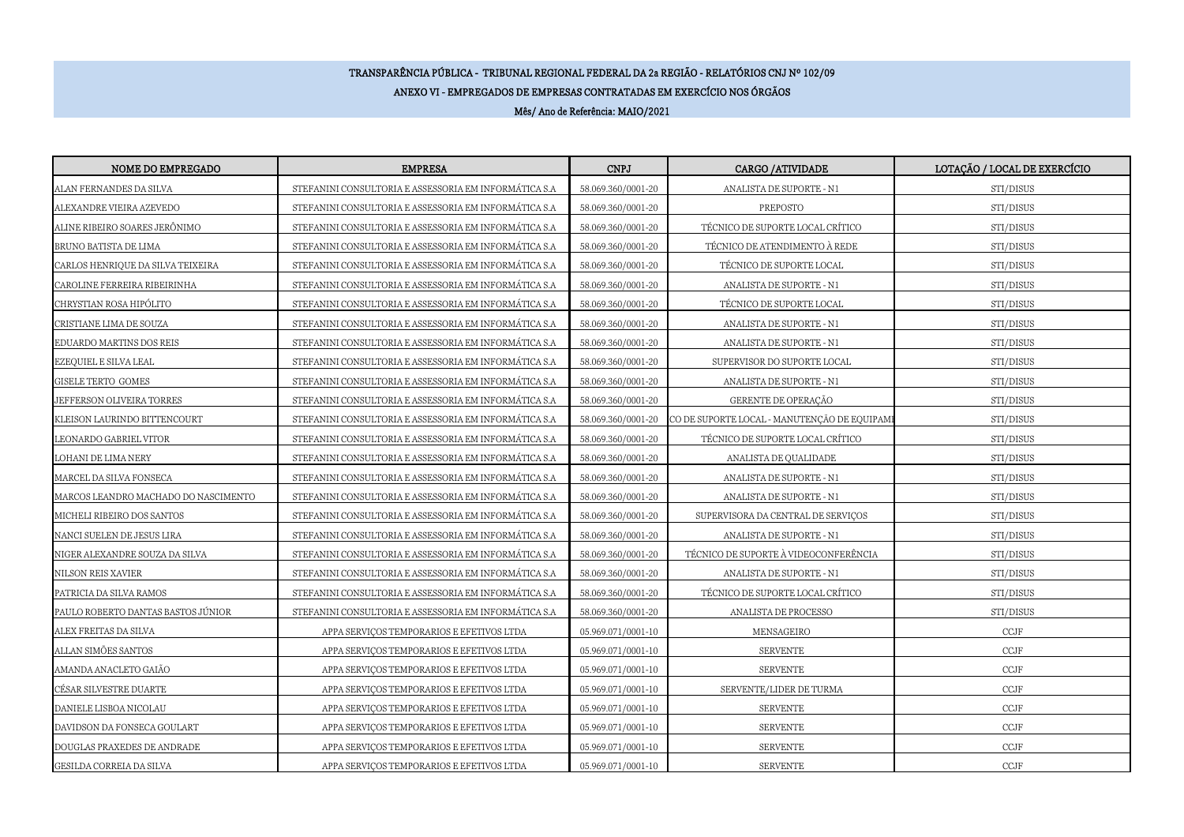## TRANSPARÊNCIA PÚBLICA - TRIBUNAL REGIONAL FEDERAL DA 2a REGIÃO - RELATÓRIOS CNJ Nº 102/09ANEXO VI - EMPREGADOS DE EMPRESAS CONTRATADAS EM EXERCÍCIO NOS ÓRGÃOSMês/ Ano de Referência: MAIO/2021

| NOME DO EMPREGADO                    | <b>EMPRESA</b>                                         | <b>CNPJ</b>        | CARGO / ATIVIDADE                           | LOTAÇÃO / LOCAL DE EXERCÍCIO |
|--------------------------------------|--------------------------------------------------------|--------------------|---------------------------------------------|------------------------------|
| ALAN FERNANDES DA SILVA              | STEFANINI CONSULTORIA E ASSESSORIA EM INFORMÁTICA S.A  | 58.069.360/0001-20 | ANALISTA DE SUPORTE - N1                    | STI/DISUS                    |
| ALEXANDRE VIEIRA AZEVEDO             | STEFANINI CONSULTORIA E ASSESSORIA EM INFORMÁTICA S.A  | 58.069.360/0001-20 | PREPOSTO                                    | STI/DISUS                    |
| ALINE RIBEIRO SOARES JERÔNIMO        | STEFANINI CONSULTORIA E ASSESSORIA EM INFORMÁTICA S.A  | 58.069.360/0001-20 | TÉCNICO DE SUPORTE LOCAL CRÍTICO            | STI/DISUS                    |
| BRUNO BATISTA DE LIMA                | STEFANINI CONSULTORIA E ASSESSORIA EM INFORMÁTICA S.A. | 58.069.360/0001-20 | TÉCNICO DE ATENDIMENTO À REDE               | STI/DISUS                    |
| CARLOS HENRIQUE DA SILVA TEIXEIRA    | STEFANINI CONSULTORIA E ASSESSORIA EM INFORMÁTICA S.A  | 58.069.360/0001-20 | TÉCNICO DE SUPORTE LOCAL                    | STI/DISUS                    |
| CAROLINE FERREIRA RIBEIRINHA         | STEFANINI CONSULTORIA E ASSESSORIA EM INFORMÁTICA S.A  | 58.069.360/0001-20 | ANALISTA DE SUPORTE - N1                    | STI/DISUS                    |
| CHRYSTIAN ROSA HIPÓLITO              | STEFANINI CONSULTORIA E ASSESSORIA EM INFORMÁTICA S.A  | 58.069.360/0001-20 | TÉCNICO DE SUPORTE LOCAL                    | STI/DISUS                    |
| CRISTIANE LIMA DE SOUZA              | STEFANINI CONSULTORIA E ASSESSORIA EM INFORMÁTICA S.A  | 58.069.360/0001-20 | ANALISTA DE SUPORTE - N1                    | STI/DISUS                    |
| EDUARDO MARTINS DOS REIS             | STEFANINI CONSULTORIA E ASSESSORIA EM INFORMÁTICA S.A  | 58.069.360/0001-20 | ANALISTA DE SUPORTE - N1                    | STI/DISUS                    |
| EZEQUIEL E SILVA LEAL                | STEFANINI CONSULTORIA E ASSESSORIA EM INFORMÁTICA S.A  | 58.069.360/0001-20 | SUPERVISOR DO SUPORTE LOCAL                 | STI/DISUS                    |
| GISELE TERTO GOMES                   | STEFANINI CONSULTORIA E ASSESSORIA EM INFORMÁTICA S.A  | 58.069.360/0001-20 | ANALISTA DE SUPORTE - N1                    | STI/DISUS                    |
| JEFFERSON OLIVEIRA TORRES            | STEFANINI CONSULTORIA E ASSESSORIA EM INFORMÁTICA S.A  | 58.069.360/0001-20 | GERENTE DE OPERAÇÃO                         | STI/DISUS                    |
| KLEISON LAURINDO BITTENCOURT         | STEFANINI CONSULTORIA E ASSESSORIA EM INFORMÁTICA S.A  | 58.069.360/0001-20 | CO DE SUPORTE LOCAL - MANUTENÇÃO DE EQUIPAM | STI/DISUS                    |
| LEONARDO GABRIEL VITOR               | STEFANINI CONSULTORIA E ASSESSORIA EM INFORMÁTICA S.A  | 58.069.360/0001-20 | TÉCNICO DE SUPORTE LOCAL CRÍTICO            | STI/DISUS                    |
| LOHANI DE LIMA NERY                  | STEFANINI CONSULTORIA E ASSESSORIA EM INFORMÁTICA S.A  | 58.069.360/0001-20 | ANALISTA DE QUALIDADE                       | STI/DISUS                    |
| MARCEL DA SILVA FONSECA              | STEFANINI CONSULTORIA E ASSESSORIA EM INFORMÁTICA S.A  | 58.069.360/0001-20 | ANALISTA DE SUPORTE - N1                    | STI/DISUS                    |
| MARCOS LEANDRO MACHADO DO NASCIMENTO | STEFANINI CONSULTORIA E ASSESSORIA EM INFORMÁTICA S.A  | 58.069.360/0001-20 | ANALISTA DE SUPORTE - N1                    | STI/DISUS                    |
| MICHELI RIBEIRO DOS SANTOS           | STEFANINI CONSULTORIA E ASSESSORIA EM INFORMÁTICA S.A  | 58.069.360/0001-20 | SUPERVISORA DA CENTRAL DE SERVIÇOS          | STI/DISUS                    |
| NANCI SUELEN DE JESUS LIRA           | STEFANINI CONSULTORIA E ASSESSORIA EM INFORMÁTICA S.A  | 58.069.360/0001-20 | ANALISTA DE SUPORTE - N1                    | STI/DISUS                    |
| NIGER ALEXANDRE SOUZA DA SILVA       | STEFANINI CONSULTORIA E ASSESSORIA EM INFORMÁTICA S.A  | 58.069.360/0001-20 | TÉCNICO DE SUPORTE À VIDEOCONFERÊNCIA       | STI/DISUS                    |
| NILSON REIS XAVIER                   | STEFANINI CONSULTORIA E ASSESSORIA EM INFORMÁTICA S.A  | 58.069.360/0001-20 | ANALISTA DE SUPORTE - N1                    | STI/DISUS                    |
| PATRICIA DA SILVA RAMOS              | STEFANINI CONSULTORIA E ASSESSORIA EM INFORMÁTICA S.A  | 58.069.360/0001-20 | TÉCNICO DE SUPORTE LOCAL CRÍTICO            | STI/DISUS                    |
| PAULO ROBERTO DANTAS BASTOS JÚNIOR   | STEFANINI CONSULTORIA E ASSESSORIA EM INFORMÁTICA S.A  | 58.069.360/0001-20 | ANALISTA DE PROCESSO                        | STI/DISUS                    |
| ALEX FREITAS DA SILVA                | APPA SERVIÇOS TEMPORARIOS E EFETIVOS LTDA              | 05.969.071/0001-10 | MENSAGEIRO                                  | $\ensuremath{\mathsf{CCJF}}$ |
| ALLAN SIMÕES SANTOS                  | APPA SERVIÇOS TEMPORARIOS E EFETIVOS LTDA              | 05.969.071/0001-10 | <b>SERVENTE</b>                             | $\ensuremath{\mathsf{CCJF}}$ |
| AMANDA ANACLETO GAIÃO                | APPA SERVIÇOS TEMPORARIOS E EFETIVOS LTDA              | 05.969.071/0001-10 | <b>SERVENTE</b>                             | CCJF                         |
| CÉSAR SILVESTRE DUARTE               | APPA SERVIÇOS TEMPORARIOS E EFETIVOS LTDA              | 05.969.071/0001-10 | SERVENTE/LIDER DE TURMA                     | $\ensuremath{\mathsf{CCJF}}$ |
| DANIELE LISBOA NICOLAU               | APPA SERVIÇOS TEMPORARIOS E EFETIVOS LTDA              | 05.969.071/0001-10 | <b>SERVENTE</b>                             | $\ensuremath{\mathsf{CCJF}}$ |
| DAVIDSON DA FONSECA GOULART          | APPA SERVIÇOS TEMPORARIOS E EFETIVOS LTDA              | 05.969.071/0001-10 | <b>SERVENTE</b>                             | $\ensuremath{\mathsf{CCJF}}$ |
| DOUGLAS PRAXEDES DE ANDRADE          | APPA SERVIÇOS TEMPORARIOS E EFETIVOS LTDA              | 05.969.071/0001-10 | <b>SERVENTE</b>                             | CCJF                         |
| GESILDA CORREIA DA SILVA             | APPA SERVIÇOS TEMPORARIOS E EFETIVOS LTDA              | 05.969.071/0001-10 | <b>SERVENTE</b>                             | CCJF                         |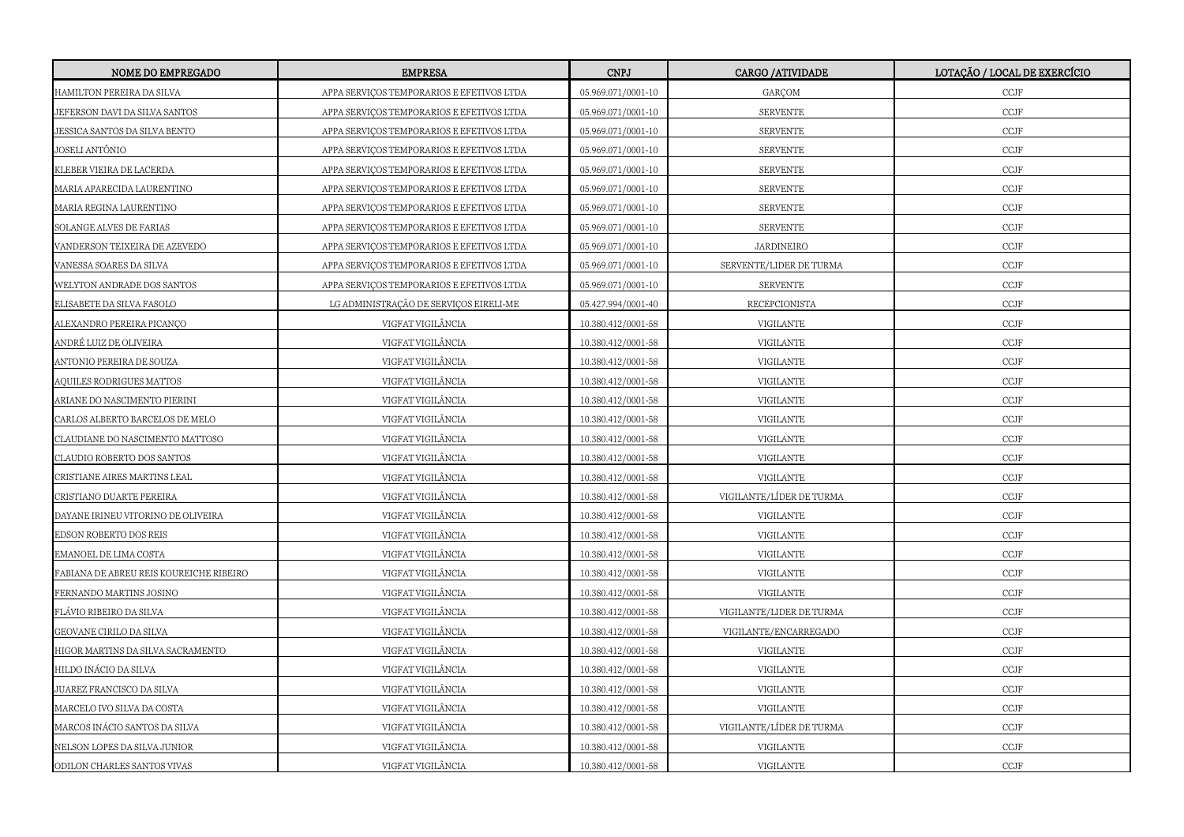| NOME DO EMPREGADO                       | <b>EMPRESA</b>                            | <b>CNPJ</b>        | CARGO / ATIVIDADE        | LOTAÇÃO / LOCAL DE EXERCÍCIO |
|-----------------------------------------|-------------------------------------------|--------------------|--------------------------|------------------------------|
| HAMILTON PEREIRA DA SILVA               | APPA SERVIÇOS TEMPORARIOS E EFETIVOS LTDA | 05.969.071/0001-10 | GARÇOM                   | CCJF                         |
| JEFERSON DAVI DA SILVA SANTOS           | APPA SERVIÇOS TEMPORARIOS E EFETIVOS LTDA | 05.969.071/0001-10 | <b>SERVENTE</b>          | $\ensuremath{\mathsf{CCJF}}$ |
| JESSICA SANTOS DA SILVA BENTO           | APPA SERVIÇOS TEMPORARIOS E EFETIVOS LTDA | 05.969.071/0001-10 | <b>SERVENTE</b>          | $\ensuremath{\mathsf{CCJF}}$ |
| JOSELI ANTÔNIO                          | APPA SERVICOS TEMPORARIOS E EFETIVOS LTDA | 05.969.071/0001-10 | <b>SERVENTE</b>          | $\ensuremath{\mathsf{CCJF}}$ |
| KLEBER VIEIRA DE LACERDA                | APPA SERVIÇOS TEMPORARIOS E EFETIVOS LTDA | 05.969.071/0001-10 | <b>SERVENTE</b>          | CCJF                         |
| MARIA APARECIDA LAURENTINO              | APPA SERVICOS TEMPORARIOS E EFETIVOS LTDA | 05.969.071/0001-10 | <b>SERVENTE</b>          | $\ensuremath{\mathsf{CCJF}}$ |
| MARIA REGINA LAURENTINO                 | APPA SERVIÇOS TEMPORARIOS E EFETIVOS LTDA | 05.969.071/0001-10 | <b>SERVENTE</b>          | $\ensuremath{\mathsf{CCJF}}$ |
| SOLANGE ALVES DE FARIAS                 | APPA SERVICOS TEMPORARIOS E EFETIVOS LTDA | 05.969.071/0001-10 | <b>SERVENTE</b>          | CCJF                         |
| VANDERSON TEIXEIRA DE AZEVEDO           | APPA SERVIÇOS TEMPORARIOS E EFETIVOS LTDA | 05.969.071/0001-10 | JARDINEIRO               | $\ensuremath{\mathsf{CCJF}}$ |
| VANESSA SOARES DA SILVA                 | APPA SERVIÇOS TEMPORARIOS E EFETIVOS LTDA | 05.969.071/0001-10 | SERVENTE/LIDER DE TURMA  | $\ensuremath{\mathsf{CCJF}}$ |
| WELYTON ANDRADE DOS SANTOS              | APPA SERVICOS TEMPORARIOS E EFETIVOS LTDA | 05.969.071/0001-10 | <b>SERVENTE</b>          | $\ensuremath{\mathsf{CCJF}}$ |
| ELISABETE DA SILVA FASOLO               | LG ADMINISTRAÇÃO DE SERVIÇOS EIRELI-ME    | 05.427.994/0001-40 | RECEPCIONISTA            | $\ensuremath{\mathsf{CCJF}}$ |
| ALEXANDRO PEREIRA PICANÇO               | VIGFAT VIGILÂNCIA                         | 10.380.412/0001-58 | VIGILANTE                | $\ensuremath{\mathsf{CCJF}}$ |
| ANDRÉ LUIZ DE OLIVEIRA                  | VIGFAT VIGILÂNCIA                         | 10.380.412/0001-58 | VIGILANTE                | $\ensuremath{\mathsf{CCJF}}$ |
| ANTONIO PEREIRA DE SOUZA                | VIGFAT VIGILÂNCIA                         | 10.380.412/0001-58 | VIGILANTE                | $\ensuremath{\text{CCJF}}$   |
| AQUILES RODRIGUES MATTOS                | VIGFAT VIGILÂNCIA                         | 10.380.412/0001-58 | VIGILANTE                | $\ensuremath{\text{CCJF}}$   |
| ARIANE DO NASCIMENTO PIERINI            | VIGFAT VIGILÂNCIA                         | 10.380.412/0001-58 | VIGILANTE                | $\ensuremath{\text{CCJF}}$   |
| CARLOS ALBERTO BARCELOS DE MELO         | VIGFAT VIGILÂNCIA                         | 10.380.412/0001-58 | VIGILANTE                | $\ensuremath{\text{CCJF}}$   |
| CLAUDIANE DO NASCIMENTO MATTOSO         | VIGFAT VIGILÂNCIA                         | 10.380.412/0001-58 | VIGILANTE                | $\ensuremath{\text{CCJF}}$   |
| CLAUDIO ROBERTO DOS SANTOS              | VIGFAT VIGILÂNCIA                         | 10.380.412/0001-58 | VIGILANTE                | $\ensuremath{\text{CCJF}}$   |
| CRISTIANE AIRES MARTINS LEAL            | VIGFAT VIGILÂNCIA                         | 10.380.412/0001-58 | VIGILANTE                | $\ensuremath{\mathsf{CCJF}}$ |
| CRISTIANO DUARTE PEREIRA                | VIGFAT VIGILÂNCIA                         | 10.380.412/0001-58 | VIGILANTE/LÍDER DE TURMA | $\ensuremath{\text{CCJF}}$   |
| DAYANE IRINEU VITORINO DE OLIVEIRA      | VIGFAT VIGILÂNCIA                         | 10.380.412/0001-58 | VIGILANTE                | $\ensuremath{\mathsf{CCJF}}$ |
| EDSON ROBERTO DOS REIS                  | VIGFAT VIGILÂNCIA                         | 10.380.412/0001-58 | VIGILANTE                | $\ensuremath{\text{CCJF}}$   |
| EMANOEL DE LIMA COSTA                   | VIGFAT VIGILÂNCIA                         | 10.380.412/0001-58 | VIGILANTE                | $\ensuremath{\text{CCJF}}$   |
| FABIANA DE ABREU REIS KOUREICHE RIBEIRO | VIGFAT VIGILÂNCIA                         | 10.380.412/0001-58 | VIGILANTE                | $\ensuremath{\mathsf{CCJF}}$ |
| FERNANDO MARTINS JOSINO                 | VIGFAT VIGILÂNCIA                         | 10.380.412/0001-58 | VIGILANTE                | $\ensuremath{\text{CCJF}}$   |
| FLÁVIO RIBEIRO DA SILVA                 | VIGFAT VIGILÂNCIA                         | 10.380.412/0001-58 | VIGILANTE/LIDER DE TURMA | $\ensuremath{\mathsf{CCJF}}$ |
| GEOVANE CIRILO DA SILVA                 | VIGFAT VIGILÂNCIA                         | 10.380.412/0001-58 | VIGILANTE/ENCARREGADO    | $\ensuremath{\text{CCJF}}$   |
| HIGOR MARTINS DA SILVA SACRAMENTO       | VIGFAT VIGILÂNCIA                         | 10.380.412/0001-58 | VIGILANTE                | $\ensuremath{\text{CCJF}}$   |
| HILDO INÁCIO DA SILVA                   | VIGFAT VIGILÂNCIA                         | 10.380.412/0001-58 | VIGILANTE                | $\ensuremath{\text{CCJF}}$   |
| JUAREZ FRANCISCO DA SILVA               | VIGFAT VIGILÂNCIA                         | 10.380.412/0001-58 | VIGILANTE                | $\ensuremath{\text{CCJF}}$   |
| MARCELO IVO SILVA DA COSTA              | VIGFAT VIGILÂNCIA                         | 10.380.412/0001-58 | VIGILANTE                | $\ensuremath{\mathsf{CCJF}}$ |
| MARCOS INÁCIO SANTOS DA SILVA           | VIGFAT VIGILÂNCIA                         | 10.380.412/0001-58 | VIGILANTE/LÍDER DE TURMA | $\ensuremath{\text{CCJF}}$   |
| NELSON LOPES DA SILVA JUNIOR            | VIGFAT VIGILÂNCIA                         | 10.380.412/0001-58 | VIGILANTE                | CCJF                         |
| ODILON CHARLES SANTOS VIVAS             | VIGFAT VIGILÂNCIA                         | 10.380.412/0001-58 | VIGILANTE                | $\ensuremath{\text{CCJF}}$   |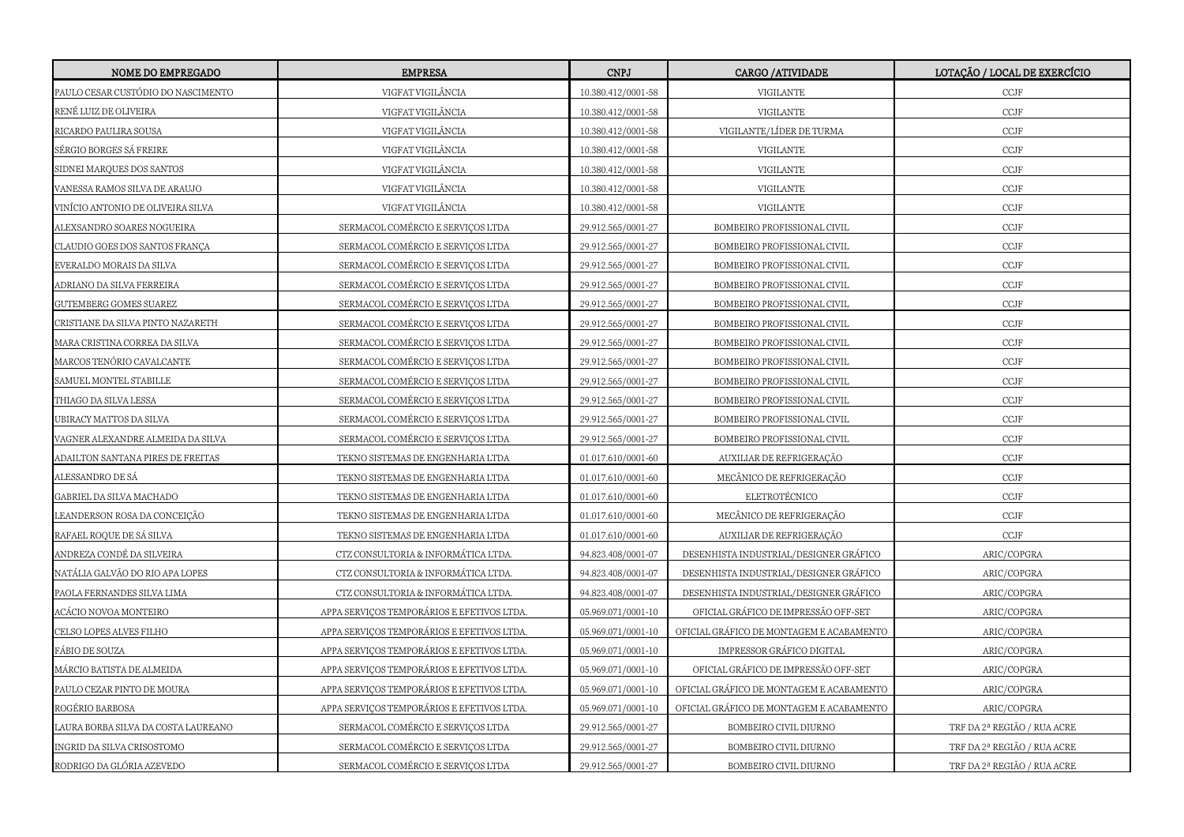| NOME DO EMPREGADO                  | <b>EMPRESA</b>                            | <b>CNPJ</b>        | <b>CARGO /ATIVIDADE</b>                  | LOTAÇÃO / LOCAL DE EXERCÍCIO |
|------------------------------------|-------------------------------------------|--------------------|------------------------------------------|------------------------------|
| PAULO CESAR CUSTÓDIO DO NASCIMENTO | VIGFAT VIGILÂNCIA                         | 10.380.412/0001-58 | VIGILANTE                                | $\ensuremath{\text{CCJF}}$   |
| RENÉ LUIZ DE OLIVEIRA              | VIGFAT VIGILÂNCIA                         | 10.380.412/0001-58 | VIGILANTE                                | $\ensuremath{\text{CCJF}}$   |
| RICARDO PAULIRA SOUSA              | VIGFAT VIGILÂNCIA                         | 10.380.412/0001-58 | VIGILANTE/LÍDER DE TURMA                 | $\ensuremath{\text{CCJF}}$   |
| SÉRGIO BORGES SÁ FREIRE            | VIGFAT VIGILÂNCIA                         | 10.380.412/0001-58 | VIGILANTE                                | $\ensuremath{\text{CCJF}}$   |
| SIDNEI MARQUES DOS SANTOS          | VIGFAT VIGILÂNCIA                         | 10.380.412/0001-58 | VIGILANTE                                | $\ensuremath{\text{CCJF}}$   |
| VANESSA RAMOS SILVA DE ARAUJO      | VIGFAT VIGILÂNCIA                         | 10.380.412/0001-58 | VIGILANTE                                | $\ensuremath{\text{CCJF}}$   |
| VINÍCIO ANTONIO DE OLIVEIRA SILVA  | VIGFAT VIGILÂNCIA                         | 10.380.412/0001-58 | VIGILANTE                                | $\ensuremath{\text{CCJF}}$   |
| ALEXSANDRO SOARES NOGUEIRA         | SERMACOL COMÉRCIO E SERVICOS LTDA         | 29.912.565/0001-27 | BOMBEIRO PROFISSIONAL CIVIL              | CCJF                         |
| CLAUDIO GOES DOS SANTOS FRANÇA     | SERMACOL COMÉRCIO E SERVIÇOS LTDA         | 29.912.565/0001-27 | BOMBEIRO PROFISSIONAL CIVIL              | $\ensuremath{\text{CCJF}}$   |
| EVERALDO MORAIS DA SILVA           | SERMACOL COMÉRCIO E SERVICOS LTDA         | 29.912.565/0001-27 | BOMBEIRO PROFISSIONAL CIVIL              | CCJF                         |
| ADRIANO DA SILVA FERREIRA          | SERMACOL COMÉRCIO E SERVIÇOS LTDA         | 29.912.565/0001-27 | BOMBEIRO PROFISSIONAL CIVIL              | $\ensuremath{\text{CCJF}}$   |
| GUTEMBERG GOMES SUAREZ             | SERMACOL COMÉRCIO E SERVIÇOS LTDA         | 29.912.565/0001-27 | BOMBEIRO PROFISSIONAL CIVIL              | $\ensuremath{\text{CCJF}}$   |
| CRISTIANE DA SILVA PINTO NAZARETH  | SERMACOL COMÉRCIO E SERVIÇOS LTDA         | 29.912.565/0001-27 | BOMBEIRO PROFISSIONAL CIVIL              | $\ensuremath{\text{CCJF}}$   |
| MARA CRISTINA CORREA DA SILVA      | SERMACOL COMÉRCIO E SERVIÇOS LTDA         | 29.912.565/0001-27 | BOMBEIRO PROFISSIONAL CIVIL              | $\ensuremath{\text{CCJF}}$   |
| MARCOS TENÓRIO CAVALCANTE          | SERMACOL COMÉRCIO E SERVICOS LTDA         | 29.912.565/0001-27 | BOMBEIRO PROFISSIONAL CIVIL              | CCJF                         |
| SAMUEL MONTEL STABILLE             | SERMACOL COMÉRCIO E SERVIÇOS LTDA         | 29.912.565/0001-27 | BOMBEIRO PROFISSIONAL CIVIL              | $\ensuremath{\text{CCJF}}$   |
| THIAGO DA SILVA LESSA              | SERMACOL COMÉRCIO E SERVICOS LTDA         | 29.912.565/0001-27 | BOMBEIRO PROFISSIONAL CIVIL              | CCJF                         |
| JBIRACY MATTOS DA SILVA            | SERMACOL COMÉRCIO E SERVIÇOS LTDA         | 29.912.565/0001-27 | BOMBEIRO PROFISSIONAL CIVIL              | $\ensuremath{\text{CCJF}}$   |
| VAGNER ALEXANDRE ALMEIDA DA SILVA  | SERMACOL COMÉRCIO E SERVIÇOS LTDA         | 29.912.565/0001-27 | BOMBEIRO PROFISSIONAL CIVIL              | $\ensuremath{\text{CCJF}}$   |
| ADAILTON SANTANA PIRES DE FREITAS  | TEKNO SISTEMAS DE ENGENHARIA LTDA         | 01.017.610/0001-60 | AUXILIAR DE REFRIGERAÇÃO                 | $\ensuremath{\text{CCJF}}$   |
| ALESSANDRO DE SÁ                   | TEKNO SISTEMAS DE ENGENHARIA LTDA         | 01.017.610/0001-60 | MECÂNICO DE REFRIGERAÇÃO                 | $\ensuremath{\text{CCJF}}$   |
| GABRIEL DA SILVA MACHADO           | TEKNO SISTEMAS DE ENGENHARIA LTDA         | 01.017.610/0001-60 | ELETROTÉCNICO                            | CCJF                         |
| EANDERSON ROSA DA CONCEIÇÃO        | TEKNO SISTEMAS DE ENGENHARIA LTDA         | 01.017.610/0001-60 | MECÂNICO DE REFRIGERAÇÃO                 | $\ensuremath{\text{CCJF}}$   |
| RAFAEL ROQUE DE SÁ SILVA           | TEKNO SISTEMAS DE ENGENHARIA LTDA         | 01.017.610/0001-60 | AUXILIAR DE REFRIGERAÇÃO                 | CCJF                         |
| ANDREZA CONDÉ DA SILVEIRA          | CTZ CONSULTORIA & INFORMÁTICA LTDA.       | 94.823.408/0001-07 | DESENHISTA INDUSTRIAL/DESIGNER GRÁFICO   | ARIC/COPGRA                  |
| NATÁLIA GALVÃO DO RIO APA LOPES    | CTZ CONSULTORIA & INFORMÁTICA LTDA.       | 94.823.408/0001-07 | DESENHISTA INDUSTRIAL/DESIGNER GRÁFICO   | ARIC/COPGRA                  |
| PAOLA FERNANDES SILVA LIMA         | CTZ CONSULTORIA & INFORMÁTICA LTDA.       | 94.823.408/0001-07 | DESENHISTA INDUSTRIAL/DESIGNER GRÁFICO   | ARIC/COPGRA                  |
| ACÁCIO NOVOA MONTEIRO              | APPA SERVIÇOS TEMPORÁRIOS E EFETIVOS LTDA | 05.969.071/0001-10 | OFICIAL GRÁFICO DE IMPRESSÃO OFF-SET     | ARIC/COPGRA                  |
| CELSO LOPES ALVES FILHO            | APPA SERVIÇOS TEMPORÁRIOS E EFETIVOS LTDA | 05.969.071/0001-10 | OFICIAL GRÁFICO DE MONTAGEM E ACABAMENTO | ARIC/COPGRA                  |
| FÁBIO DE SOUZA                     | APPA SERVIÇOS TEMPORÁRIOS E EFETIVOS LTDA | 05.969.071/0001-10 | IMPRESSOR GRÁFICO DIGITAL                | ARIC/COPGRA                  |
| MÁRCIO BATISTA DE ALMEIDA          | APPA SERVIÇOS TEMPORÁRIOS E EFETIVOS LTDA | 05.969.071/0001-10 | OFICIAL GRÁFICO DE IMPRESSÃO OFF-SET     | ARIC/COPGRA                  |
| PAULO CEZAR PINTO DE MOURA         | APPA SERVIÇOS TEMPORÁRIOS E EFETIVOS LTDA | 05.969.071/0001-10 | OFICIAL GRÁFICO DE MONTAGEM E ACABAMENTO | ARIC/COPGRA                  |
| ROGÉRIO BARBOSA                    | APPA SERVIÇOS TEMPORÁRIOS E EFETIVOS LTDA | 05.969.071/0001-10 | OFICIAL GRÁFICO DE MONTAGEM E ACABAMENTO | ARIC/COPGRA                  |
| AURA BORBA SILVA DA COSTA LAUREANO | SERMACOL COMÉRCIO E SERVIÇOS LTDA         | 29.912.565/0001-27 | BOMBEIRO CIVIL DIURNO                    | TRF DA 2ª REGIÃO / RUA ACRE  |
| INGRID DA SILVA CRISOSTOMO         | SERMACOL COMÉRCIO E SERVIÇOS LTDA         | 29.912.565/0001-27 | BOMBEIRO CIVIL DIURNO                    | TRF DA 2ª REGIÃO / RUA ACRE  |
| RODRIGO DA GLÓRIA AZEVEDO          | SERMACOL COMÉRCIO E SERVIÇOS LTDA         | 29.912.565/0001-27 | BOMBEIRO CIVIL DIURNO                    | TRF DA 2ª REGIÃO / RUA ACRE  |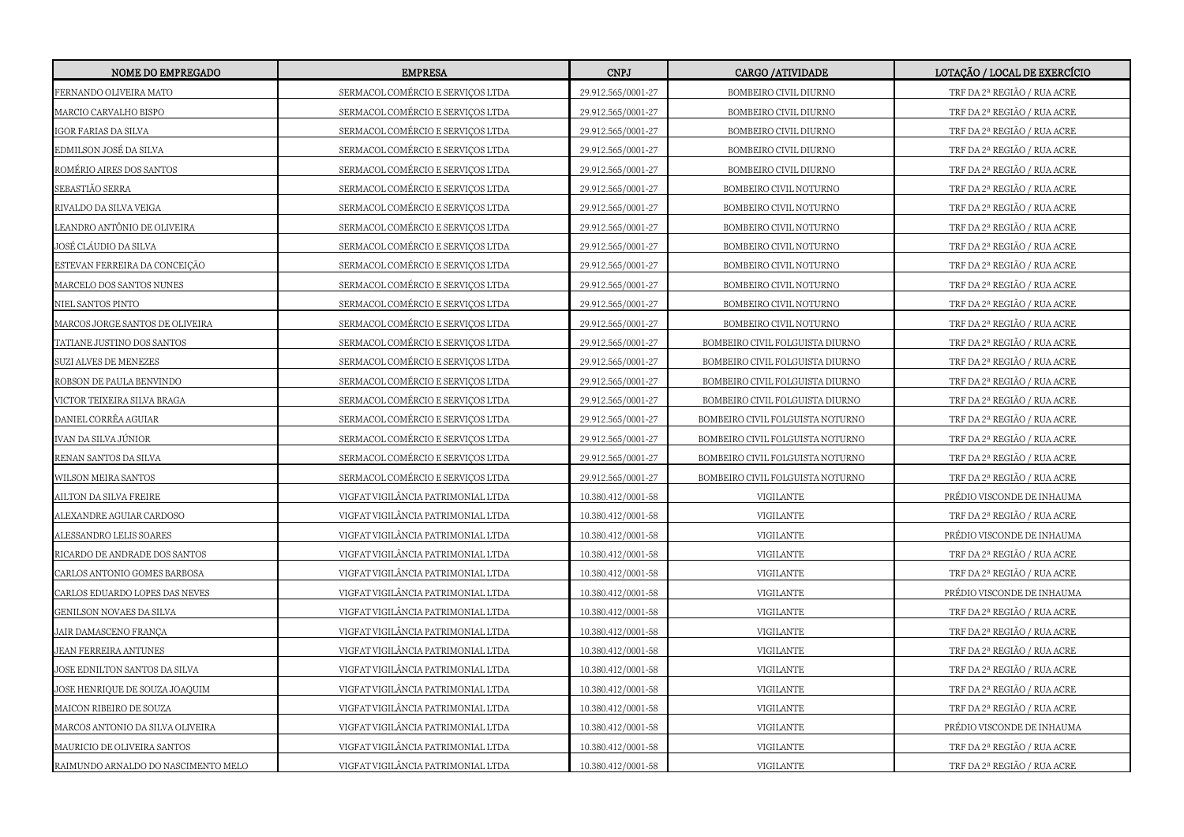| NOME DO EMPREGADO                   | <b>EMPRESA</b>                     | <b>CNPJ</b>        | CARGO / ATTVIDADE                | LOTAÇÃO / LOCAL DE EXERCÍCIO |
|-------------------------------------|------------------------------------|--------------------|----------------------------------|------------------------------|
| FERNANDO OLIVEIRA MATO              | SERMACOL COMÉRCIO E SERVIÇOS LTDA  | 29.912.565/0001-27 | BOMBEIRO CIVIL DIURNO            | TRF DA 2ª REGIÃO / RUA ACRE  |
| MARCIO CARVALHO BISPO               | SERMACOL COMÉRCIO E SERVIÇOS LTDA  | 29.912.565/0001-27 | BOMBEIRO CIVIL DIURNO            | TRF DA 2ª REGIÃO / RUA ACRE  |
| GOR FARIAS DA SILVA                 | SERMACOL COMÉRCIO E SERVICOS LTDA  | 29.912.565/0001-27 | BOMBEIRO CIVIL DIURNO            | TRF DA 2ª REGIÃO / RUA ACRE  |
| EDMILSON JOSÉ DA SILVA              | SERMACOL COMÉRCIO E SERVIÇOS LTDA  | 29.912.565/0001-27 | BOMBEIRO CIVIL DIURNO            | TRF DA 2ª REGIÃO / RUA ACRE  |
| ROMÉRIO AIRES DOS SANTOS            | SERMACOL COMÉRCIO E SERVIÇOS LTDA  | 29.912.565/0001-27 | BOMBEIRO CIVIL DIURNO            | TRF DA 2ª REGIÃO / RUA ACRE  |
| SEBASTIÃO SERRA                     | SERMACOL COMÉRCIO E SERVIÇOS LTDA  | 29.912.565/0001-27 | BOMBEIRO CIVIL NOTURNO           | TRF DA 2ª REGIÃO / RUA ACRE  |
| RIVALDO DA SILVA VEIGA              | SERMACOL COMÉRCIO E SERVIÇOS LTDA  | 29.912.565/0001-27 | BOMBEIRO CIVIL NOTURNO           | TRF DA 2ª REGIÃO / RUA ACRE  |
| .EANDRO ANTÔNIO DE OLIVEIRA         | SERMACOL COMÉRCIO E SERVIÇOS LTDA  | 29.912.565/0001-27 | BOMBEIRO CIVIL NOTURNO           | TRF DA 2ª REGIÃO / RUA ACRE  |
| JOSÉ CLÁUDIO DA SILVA               | SERMACOL COMÉRCIO E SERVIÇOS LTDA  | 29.912.565/0001-27 | BOMBEIRO CIVIL NOTURNO           | TRF DA 2ª REGIÃO / RUA ACRE  |
| ESTEVAN FERREIRA DA CONCEIÇÃO       | SERMACOL COMÉRCIO E SERVIÇOS LTDA  | 29.912.565/0001-27 | BOMBEIRO CIVIL NOTURNO           | TRF DA 2ª REGIÃO / RUA ACRE  |
| MARCELO DOS SANTOS NUNES            | SERMACOL COMÉRCIO E SERVIÇOS LTDA  | 29.912.565/0001-27 | BOMBEIRO CIVIL NOTURNO           | TRF DA 2ª REGIÃO / RUA ACRE  |
| NIEL SANTOS PINTO                   | SERMACOL COMÉRCIO E SERVIÇOS LTDA  | 29.912.565/0001-27 | BOMBEIRO CIVIL NOTURNO           | TRF DA 2ª REGIÃO / RUA ACRE  |
| MARCOS JORGE SANTOS DE OLIVEIRA     | SERMACOL COMÉRCIO E SERVIÇOS LTDA  | 29.912.565/0001-27 | BOMBEIRO CIVIL NOTURNO           | TRF DA 2ª REGIÃO / RUA ACRE  |
| TATIANE JUSTINO DOS SANTOS          | SERMACOL COMÉRCIO E SERVIÇOS LTDA  | 29.912.565/0001-27 | BOMBEIRO CIVIL FOLGUISTA DIURNO  | TRF DA 2ª REGIÃO / RUA ACRE  |
| SUZI ALVES DE MENEZES               | SERMACOL COMÉRCIO E SERVIÇOS LTDA  | 29.912.565/0001-27 | BOMBEIRO CIVIL FOLGUISTA DIURNO  | TRF DA 2ª REGIÃO / RUA ACRE  |
| ROBSON DE PAULA BENVINDO            | SERMACOL COMÉRCIO E SERVICOS LTDA  | 29.912.565/0001-27 | BOMBEIRO CIVIL FOLGUISTA DIURNO  | TRF DA 2ª REGIÃO / RUA ACRE  |
| VICTOR TEIXEIRA SILVA BRAGA         | SERMACOL COMÉRCIO E SERVIÇOS LTDA  | 29.912.565/0001-27 | BOMBEIRO CIVIL FOLGUISTA DIURNO  | TRF DA 2ª REGIÃO / RUA ACRE  |
| DANIEL CORRÊA AGUIAR                | SERMACOL COMÉRCIO E SERVIÇOS LTDA  | 29.912.565/0001-27 | BOMBEIRO CIVIL FOLGUISTA NOTURNO | TRF DA 2ª REGIÃO / RUA ACRE  |
| VAN DA SILVA JÚNIOR                 | SERMACOL COMÉRCIO E SERVIÇOS LTDA  | 29.912.565/0001-27 | BOMBEIRO CIVIL FOLGUISTA NOTURNO | TRF DA 2ª REGIÃO / RUA ACRE  |
| RENAN SANTOS DA SILVA               | SERMACOL COMÉRCIO E SERVIÇOS LTDA  | 29.912.565/0001-27 | BOMBEIRO CIVIL FOLGUISTA NOTURNO | TRF DA 2ª REGIÃO / RUA ACRE  |
| WILSON MEIRA SANTOS                 | SERMACOL COMÉRCIO E SERVIÇOS LTDA  | 29.912.565/0001-27 | BOMBEIRO CIVIL FOLGUISTA NOTURNO | TRF DA 2ª REGIÃO / RUA ACRE  |
| AILTON DA SILVA FREIRE              | VIGFAT VIGILÂNCIA PATRIMONIAL LTDA | 10.380.412/0001-58 | VIGILANTE                        | PRÉDIO VISCONDE DE INHAUMA   |
| ALEXANDRE AGUIAR CARDOSO            | VIGFAT VIGILÂNCIA PATRIMONIAL LTDA | 10.380.412/0001-58 | VIGILANTE                        | TRF DA 2ª REGIÃO / RUA ACRE  |
| ALESSANDRO LELIS SOARES             | VIGFAT VIGILÂNCIA PATRIMONIAL LTDA | 10.380.412/0001-58 | VIGILANTE                        | PRÉDIO VISCONDE DE INHAUMA   |
| RICARDO DE ANDRADE DOS SANTOS       | VIGFAT VIGILÂNCIA PATRIMONIAL LTDA | 10.380.412/0001-58 | VIGILANTE                        | TRF DA 2ª REGIÃO / RUA ACRE  |
| CARLOS ANTONIO GOMES BARBOSA        | VIGFAT VIGILÂNCIA PATRIMONIAL LTDA | 10.380.412/0001-58 | VIGILANTE                        | TRF DA 2ª REGIÃO / RUA ACRE  |
| CARLOS EDUARDO LOPES DAS NEVES      | VIGFAT VIGILÂNCIA PATRIMONIAL LTDA | 10.380.412/0001-58 | VIGILANTE                        | PRÉDIO VISCONDE DE INHAUMA   |
| GENILSON NOVAES DA SILVA            | VIGFAT VIGILÂNCIA PATRIMONIAL LTDA | 10.380.412/0001-58 | VIGILANTE                        | TRF DA 2ª REGIÃO / RUA ACRE  |
| JAIR DAMASCENO FRANÇA               | VIGFAT VIGILÂNCIA PATRIMONIAL LTDA | 10.380.412/0001-58 | VIGILANTE                        | TRF DA 2ª REGIÃO / RUA ACRE  |
| JEAN FERREIRA ANTUNES               | VIGFAT VIGILÂNCIA PATRIMONIAL LTDA | 10.380.412/0001-58 | VIGILANTE                        | TRF DA 2ª REGIÃO / RUA ACRE  |
| JOSE EDNILTON SANTOS DA SILVA       | VIGFAT VIGILÂNCIA PATRIMONIAL LTDA | 10.380.412/0001-58 | VIGILANTE                        | TRF DA 2ª REGIÃO / RUA ACRE  |
| JOSE HENRIQUE DE SOUZA JOAQUIM      | VIGFAT VIGILÂNCIA PATRIMONIAL LTDA | 10.380.412/0001-58 | VIGILANTE                        | TRF DA 2ª REGIÃO / RUA ACRE  |
| MAICON RIBEIRO DE SOUZA             | VIGFAT VIGILÂNCIA PATRIMONIAL LTDA | 10.380.412/0001-58 | VIGILANTE                        | TRF DA 2ª REGIÃO / RUA ACRE  |
| MARCOS ANTONIO DA SILVA OLIVEIRA    | VIGFAT VIGILÂNCIA PATRIMONIAL LTDA | 10.380.412/0001-58 | VIGILANTE                        | PRÉDIO VISCONDE DE INHAUMA   |
| MAURICIO DE OLIVEIRA SANTOS         | VIGFAT VIGILÂNCIA PATRIMONIAL LTDA | 10.380.412/0001-58 | VIGILANTE                        | TRF DA 2ª REGIÃO / RUA ACRE  |
| RAIMUNDO ARNALDO DO NASCIMENTO MELO | VIGFAT VIGILÂNCIA PATRIMONIAL LTDA | 10.380.412/0001-58 | VIGILANTE                        | TRF DA 2ª REGIÃO / RUA ACRE  |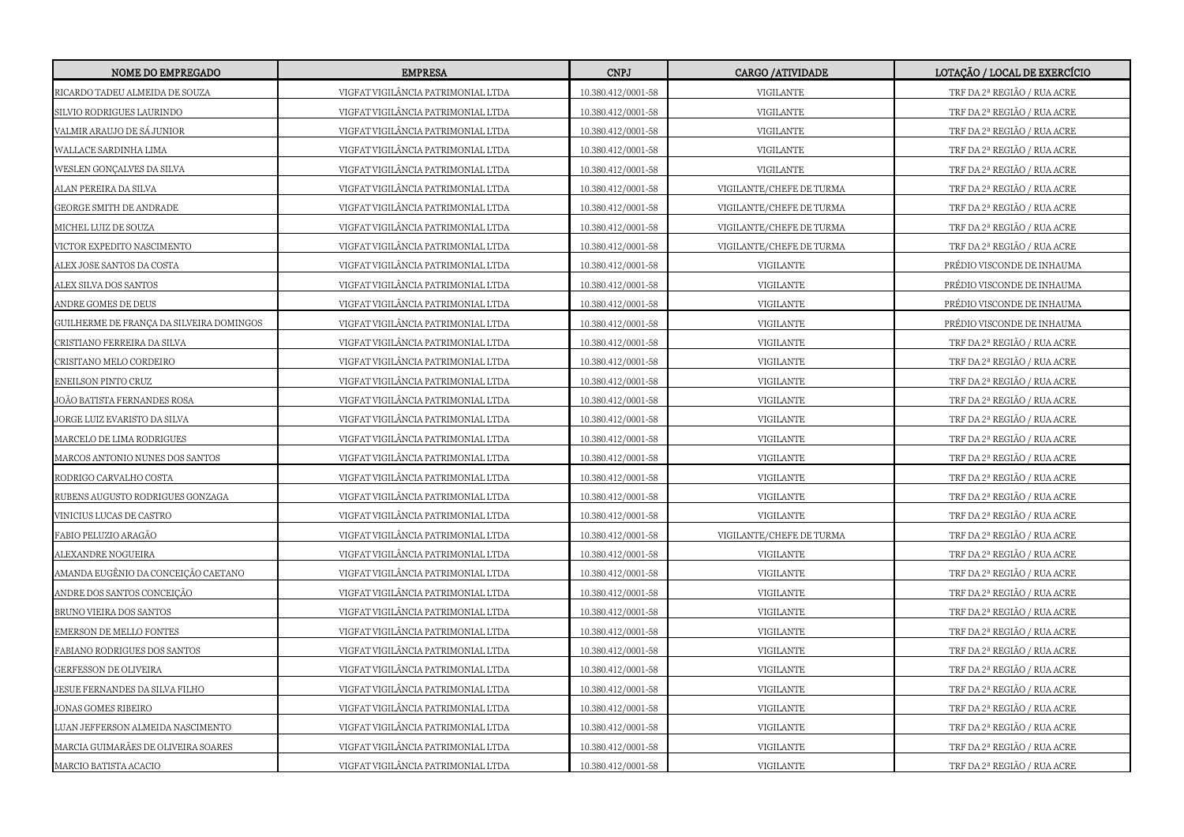| NOME DO EMPREGADO                        | <b>EMPRESA</b>                     | <b>CNPJ</b>        | CARGO / ATIVIDADE        | LOTAÇÃO / LOCAL DE EXERCÍCIO |
|------------------------------------------|------------------------------------|--------------------|--------------------------|------------------------------|
| RICARDO TADEU ALMEIDA DE SOUZA           | VIGFAT VIGILÂNCIA PATRIMONIAL LTDA | 10.380.412/0001-58 | VIGILANTE                | TRF DA 2ª REGIÃO / RUA ACRE  |
| SILVIO RODRIGUES LAURINDO                | VIGFAT VIGILÂNCIA PATRIMONIAL LTDA | 10.380.412/0001-58 | VIGILANTE                | TRF DA 2ª REGIÃO / RUA ACRE  |
| VALMIR ARAUJO DE SÁ JUNIOR               | VIGFAT VIGILÂNCIA PATRIMONIAL LTDA | 10.380.412/0001-58 | VIGILANTE                | TRF DA 2ª REGIÃO / RUA ACRE  |
| WALLACE SARDINHA LIMA                    | VIGFAT VIGILÂNCIA PATRIMONIAL LTDA | 10.380.412/0001-58 | VIGILANTE                | TRF DA 2ª REGIÃO / RUA ACRE  |
| WESLEN GONÇALVES DA SILVA                | VIGFAT VIGILÂNCIA PATRIMONIAL LTDA | 10.380.412/0001-58 | VIGILANTE                | TRF DA 2ª REGIÃO / RUA ACRE  |
| ALAN PEREIRA DA SILVA                    | VIGFAT VIGILÂNCIA PATRIMONIAL LTDA | 10.380.412/0001-58 | VIGILANTE/CHEFE DE TURMA | TRF DA 2ª REGIÃO / RUA ACRE  |
| GEORGE SMITH DE ANDRADE                  | VIGFAT VIGILÂNCIA PATRIMONIAL LTDA | 10.380.412/0001-58 | VIGILANTE/CHEFE DE TURMA | TRF DA 2ª REGIÃO / RUA ACRE  |
| MICHEL LUIZ DE SOUZA                     | VIGFAT VIGILÂNCIA PATRIMONIAL LTDA | 10.380.412/0001-58 | VIGILANTE/CHEFE DE TURMA | TRF DA 2ª REGIÃO / RUA ACRE  |
| VICTOR EXPEDITO NASCIMENTO               | VIGFAT VIGILÂNCIA PATRIMONIAL LTDA | 10.380.412/0001-58 | VIGILANTE/CHEFE DE TURMA | TRF DA 2ª REGIÃO / RUA ACRE  |
| ALEX JOSE SANTOS DA COSTA                | VIGFAT VIGILÂNCIA PATRIMONIAL LTDA | 10.380.412/0001-58 | VIGILANTE                | PRÉDIO VISCONDE DE INHAUMA   |
| ALEX SILVA DOS SANTOS                    | VIGFAT VIGILÂNCIA PATRIMONIAL LTDA | 10.380.412/0001-58 | VIGILANTE                | PRÉDIO VISCONDE DE INHAUMA   |
| ANDRE GOMES DE DEUS                      | VIGFAT VIGILÂNCIA PATRIMONIAL LTDA | 10.380.412/0001-58 | VIGILANTE                | PRÉDIO VISCONDE DE INHAUMA   |
| GUILHERME DE FRANÇA DA SILVEIRA DOMINGOS | VIGFAT VIGILÂNCIA PATRIMONIAL LTDA | 10.380.412/0001-58 | VIGILANTE                | PRÉDIO VISCONDE DE INHAUMA   |
| CRISTIANO FERREIRA DA SILVA              | VIGFAT VIGILÂNCIA PATRIMONIAL LTDA | 10.380.412/0001-58 | VIGILANTE                | TRF DA 2ª REGIÃO / RUA ACRE  |
| CRISITANO MELO CORDEIRO                  | VIGFAT VIGILÂNCIA PATRIMONIAL LTDA | 10.380.412/0001-58 | <b>VIGILANTE</b>         | TRF DA 2ª REGIÃO / RUA ACRE  |
| ENEILSON PINTO CRUZ                      | VIGFAT VIGILÂNCIA PATRIMONIAL LTDA | 10.380.412/0001-58 | VIGILANTE                | TRF DA 2ª REGIÃO / RUA ACRE  |
| JOÃO BATISTA FERNANDES ROSA              | VIGFAT VIGILÂNCIA PATRIMONIAL LTDA | 10.380.412/0001-58 | VIGILANTE                | TRF DA 2ª REGIÃO / RUA ACRE  |
| JORGE LUIZ EVARISTO DA SILVA             | VIGFAT VIGILÂNCIA PATRIMONIAL LTDA | 10.380.412/0001-58 | VIGILANTE                | TRF DA 2ª REGIÃO / RUA ACRE  |
| MARCELO DE LIMA RODRIGUES                | VIGFAT VIGILÂNCIA PATRIMONIAL LTDA | 10.380.412/0001-58 | VIGILANTE                | TRF DA 2ª REGIÃO / RUA ACRE  |
| MARCOS ANTONIO NUNES DOS SANTOS          | VIGFAT VIGILÂNCIA PATRIMONIAL LTDA | 10.380.412/0001-58 | VIGILANTE                | TRF DA 2ª REGIÃO / RUA ACRE  |
| RODRIGO CARVALHO COSTA                   | VIGFAT VIGILÂNCIA PATRIMONIAL LTDA | 10.380.412/0001-58 | VIGILANTE                | TRF DA 2ª REGIÃO / RUA ACRE  |
| RUBENS AUGUSTO RODRIGUES GONZAGA         | VIGFAT VIGILÂNCIA PATRIMONIAL LTDA | 10.380.412/0001-58 | VIGILANTE                | TRF DA 2ª REGIÃO / RUA ACRE  |
| VINICIUS LUCAS DE CASTRO                 | VIGFAT VIGILÂNCIA PATRIMONIAL LTDA | 10.380.412/0001-58 | VIGILANTE                | TRF DA 2ª REGIÃO / RUA ACRE  |
| FABIO PELUZIO ARAGÃO                     | VIGFAT VIGILÂNCIA PATRIMONIAL LTDA | 10.380.412/0001-58 | VIGILANTE/CHEFE DE TURMA | TRF DA 2ª REGIÃO / RUA ACRE  |
| ALEXANDRE NOGUEIRA                       | VIGFAT VIGILÂNCIA PATRIMONIAL LTDA | 10.380.412/0001-58 | VIGILANTE                | TRF DA 2ª REGIÃO / RUA ACRE  |
| AMANDA EUGÊNIO DA CONCEIÇÃO CAETANO      | VIGFAT VIGILÂNCIA PATRIMONIAL LTDA | 10.380.412/0001-58 | VIGILANTE                | TRF DA 2ª REGIÃO / RUA ACRE  |
| ANDRE DOS SANTOS CONCEIÇÃO               | VIGFAT VIGILÂNCIA PATRIMONIAL LTDA | 10.380.412/0001-58 | VIGILANTE                | TRF DA 2ª REGIÃO / RUA ACRE  |
| BRUNO VIEIRA DOS SANTOS                  | VIGFAT VIGILÂNCIA PATRIMONIAL LTDA | 10.380.412/0001-58 | VIGILANTE                | TRF DA 2ª REGIÃO / RUA ACRE  |
| EMERSON DE MELLO FONTES                  | VIGFAT VIGILÂNCIA PATRIMONIAL LTDA | 10.380.412/0001-58 | <b>VIGILANTE</b>         | TRF DA 2ª REGIÃO / RUA ACRE  |
| FABIANO RODRIGUES DOS SANTOS             | VIGFAT VIGILÂNCIA PATRIMONIAL LTDA | 10.380.412/0001-58 | VIGILANTE                | TRF DA 2ª REGIÃO / RUA ACRE  |
| GERFESSON DE OLIVEIRA                    | VIGFAT VIGILÂNCIA PATRIMONIAL LTDA | 10.380.412/0001-58 | VIGILANTE                | TRF DA 2ª REGIÃO / RUA ACRE  |
| JESUE FERNANDES DA SILVA FILHO           | VIGFAT VIGILÂNCIA PATRIMONIAL LTDA | 10.380.412/0001-58 | VIGILANTE                | TRF DA 2ª REGIÃO / RUA ACRE  |
| JONAS GOMES RIBEIRO                      | VIGFAT VIGILÂNCIA PATRIMONIAL LTDA | 10.380.412/0001-58 | VIGILANTE                | TRF DA 2ª REGIÃO / RUA ACRE  |
| LUAN JEFFERSON ALMEIDA NASCIMENTO        | VIGFAT VIGILÂNCIA PATRIMONIAL LTDA | 10.380.412/0001-58 | VIGILANTE                | TRF DA 2ª REGIÃO / RUA ACRE  |
| MARCIA GUIMARÃES DE OLIVEIRA SOARES      | VIGFAT VIGILÂNCIA PATRIMONIAL LTDA | 10.380.412/0001-58 | VIGILANTE                | TRF DA 2ª REGIÃO / RUA ACRE  |
| MARCIO BATISTA ACACIO                    | VIGFAT VIGILÂNCIA PATRIMONIAL LTDA | 10.380.412/0001-58 | VIGILANTE                | TRF DA 2ª REGIÃO / RUA ACRE  |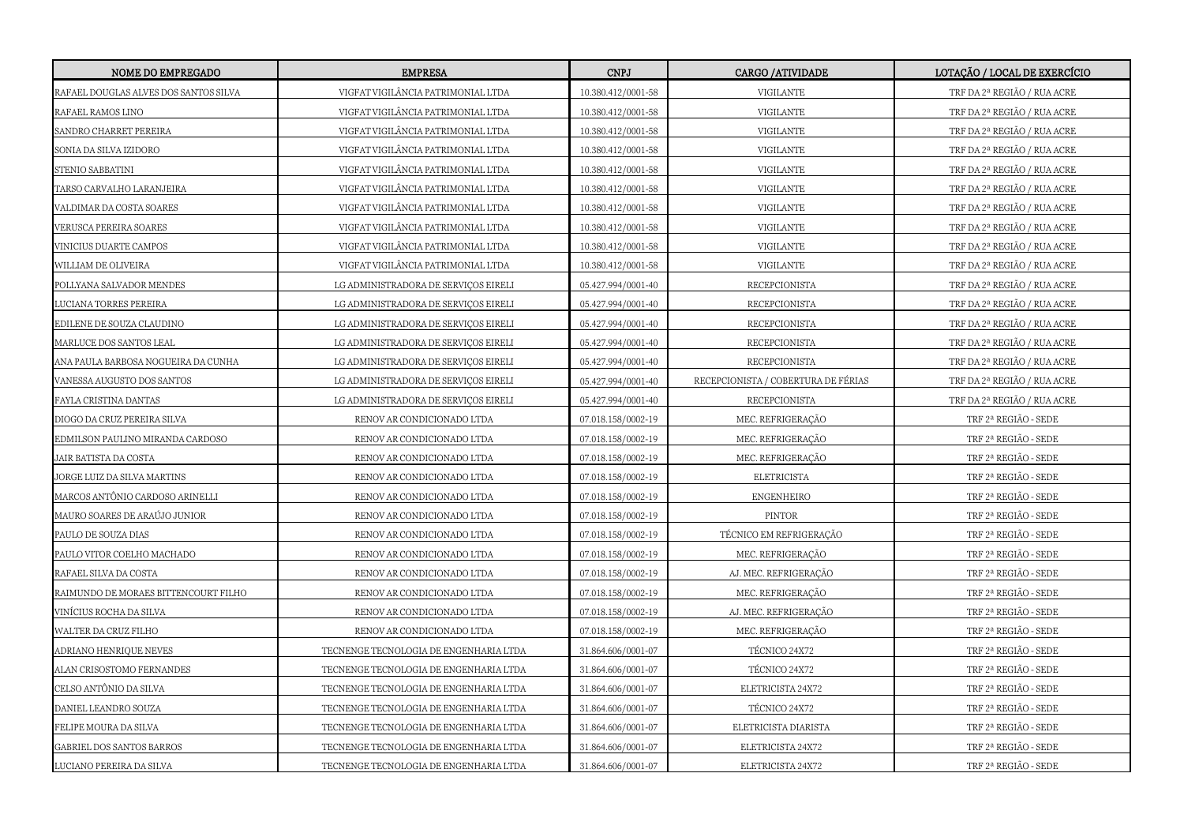| <b>NOME DO EMPREGADO</b>              | <b>EMPRESA</b>                         | <b>CNPJ</b>        | CARGO / ATTVIDADE                   | LOTAÇÃO / LOCAL DE EXERCÍCIO |
|---------------------------------------|----------------------------------------|--------------------|-------------------------------------|------------------------------|
| RAFAEL DOUGLAS ALVES DOS SANTOS SILVA | VIGFAT VIGILÂNCIA PATRIMONIAL LTDA     | 10.380.412/0001-58 | VIGILANTE                           | TRF DA 2ª REGIÃO / RUA ACRE  |
| RAFAEL RAMOS LINO                     | VIGFAT VIGILÂNCIA PATRIMONIAL LTDA     | 10.380.412/0001-58 | VIGILANTE                           | TRF DA 2ª REGIÃO / RUA ACRE  |
| SANDRO CHARRET PEREIRA                | VIGFAT VIGILÂNCIA PATRIMONIAL LTDA     | 10.380.412/0001-58 | VIGILANTE                           | TRF DA 2ª REGIÃO / RUA ACRE  |
| SONIA DA SILVA IZIDORO                | VIGFAT VIGILÂNCIA PATRIMONIAL LTDA     | 10.380.412/0001-58 | VIGILANTE                           | TRF DA 2ª REGIÃO / RUA ACRE  |
| STENIO SABBATINI                      | VIGFAT VIGILÂNCIA PATRIMONIAL LTDA     | 10.380.412/0001-58 | VIGILANTE                           | TRF DA 2ª REGIÃO / RUA ACRE  |
| TARSO CARVALHO LARANJEIRA             | VIGFAT VIGILÂNCIA PATRIMONIAL LTDA     | 10.380.412/0001-58 | <b>VIGILANTE</b>                    | TRF DA 2ª REGIÃO / RUA ACRE  |
| VALDIMAR DA COSTA SOARES              | VIGFAT VIGILÂNCIA PATRIMONIAL LTDA     | 10.380.412/0001-58 | VIGILANTE                           | TRF DA 2ª REGIÃO / RUA ACRE  |
| VERUSCA PEREIRA SOARES                | VIGFAT VIGILÂNCIA PATRIMONIAL LTDA     | 10.380.412/0001-58 | <b>VIGILANTE</b>                    | TRF DA 2ª REGIÃO / RUA ACRE  |
| VINICIUS DUARTE CAMPOS                | VIGFAT VIGILÂNCIA PATRIMONIAL LTDA     | 10.380.412/0001-58 | VIGILANTE                           | TRF DA 2ª REGIÃO / RUA ACRE  |
| WILLIAM DE OLIVEIRA                   | VIGFAT VIGILÂNCIA PATRIMONIAL LTDA     | 10.380.412/0001-58 | VIGILANTE                           | TRF DA 2ª REGIÃO / RUA ACRE  |
| POLLYANA SALVADOR MENDES              | LG ADMINISTRADORA DE SERVIÇOS EIRELI   | 05.427.994/0001-40 | RECEPCIONISTA                       | TRF DA 2ª REGIÃO / RUA ACRE  |
| <b>JUCIANA TORRES PEREIRA</b>         | LG ADMINISTRADORA DE SERVIÇOS EIRELI   | 05.427.994/0001-40 | RECEPCIONISTA                       | TRF DA 2ª REGIÃO / RUA ACRE  |
| EDILENE DE SOUZA CLAUDINO             | LG ADMINISTRADORA DE SERVIÇOS EIRELI   | 05.427.994/0001-40 | RECEPCIONISTA                       | TRF DA 2ª REGIÃO / RUA ACRE  |
| MARLUCE DOS SANTOS LEAL               | LG ADMINISTRADORA DE SERVIÇOS EIRELI   | 05.427.994/0001-40 | RECEPCIONISTA                       | TRF DA 2ª REGIÃO / RUA ACRE  |
| ANA PAULA BARBOSA NOGUEIRA DA CUNHA   | LG ADMINISTRADORA DE SERVIÇOS EIRELI   | 05.427.994/0001-40 | RECEPCIONISTA                       | TRF DA 2ª REGIÃO / RUA ACRE  |
| VANESSA AUGUSTO DOS SANTOS            | LG ADMINISTRADORA DE SERVICOS EIRELI   | 05.427.994/0001-40 | RECEPCIONISTA / COBERTURA DE FÉRIAS | TRF DA 2ª REGIÃO / RUA ACRE  |
| FAYLA CRISTINA DANTAS                 | LG ADMINISTRADORA DE SERVIÇOS EIRELI   | 05.427.994/0001-40 | RECEPCIONISTA                       | TRF DA 2ª REGIÃO / RUA ACRE  |
| DIOGO DA CRUZ PEREIRA SILVA           | RENOV AR CONDICIONADO LTDA             | 07.018.158/0002-19 | MEC. REFRIGERAÇÃO                   | TRF 2ª REGIÃO - SEDE         |
| EDMILSON PAULINO MIRANDA CARDOSO      | RENOV AR CONDICIONADO LTDA             | 07.018.158/0002-19 | MEC. REFRIGERAÇÃO                   | TRF 2ª REGIÃO - SEDE         |
| JAIR BATISTA DA COSTA                 | RENOV AR CONDICIONADO LTDA             | 07.018.158/0002-19 | MEC. REFRIGERAÇÃO                   | TRF 2ª REGIÃO - SEDE         |
| JORGE LUIZ DA SILVA MARTINS           | RENOV AR CONDICIONADO LTDA             | 07.018.158/0002-19 | <b>ELETRICISTA</b>                  | TRF 2ª REGIÃO - SEDE         |
| MARCOS ANTÔNIO CARDOSO ARINELLI       | RENOV AR CONDICIONADO LTDA             | 07.018.158/0002-19 | <b>ENGENHEIRO</b>                   | TRF 2ª REGIÃO - SEDE         |
| MAURO SOARES DE ARAÚJO JUNIOR         | RENOV AR CONDICIONADO LTDA             | 07.018.158/0002-19 | PINTOR                              | TRF 2ª REGIÃO - SEDE         |
| PAULO DE SOUZA DIAS                   | RENOV AR CONDICIONADO LTDA             | 07.018.158/0002-19 | TÉCNICO EM REFRIGERAÇÃO             | TRF 2ª REGIÃO - SEDE         |
| PAULO VITOR COELHO MACHADO            | RENOV AR CONDICIONADO LTDA             | 07.018.158/0002-19 | MEC. REFRIGERAÇÃO                   | TRF 2ª REGIÃO - SEDE         |
| RAFAEL SILVA DA COSTA                 | RENOV AR CONDICIONADO LTDA             | 07.018.158/0002-19 | AJ. MEC. REFRIGERAÇÃO               | TRF 2ª REGIÃO - SEDE         |
| RAIMUNDO DE MORAES BITTENCOURT FILHO  | RENOV AR CONDICIONADO LTDA             | 07.018.158/0002-19 | MEC. REFRIGERAÇÃO                   | TRF 2ª REGIÃO - SEDE         |
| VINÍCIUS ROCHA DA SILVA               | RENOV AR CONDICIONADO LTDA             | 07.018.158/0002-19 | AJ. MEC. REFRIGERAÇÃO               | TRF 2ª REGIÃO - SEDE         |
| WALTER DA CRUZ FILHO                  | RENOV AR CONDICIONADO LTDA             | 07.018.158/0002-19 | MEC. REFRIGERAÇÃO                   | TRF 2ª REGIÃO - SEDE         |
| ADRIANO HENRIQUE NEVES                | TECNENGE TECNOLOGIA DE ENGENHARIA LTDA | 31.864.606/0001-07 | TÉCNICO 24X72                       | TRF 2ª REGIÃO - SEDE         |
| ALAN CRISOSTOMO FERNANDES             | TECNENGE TECNOLOGIA DE ENGENHARIA LTDA | 31.864.606/0001-07 | TÉCNICO 24X72                       | TRF 2ª REGIÃO - SEDE         |
| CELSO ANTÔNIO DA SILVA                | TECNENGE TECNOLOGIA DE ENGENHARIA LTDA | 31.864.606/0001-07 | ELETRICISTA 24X72                   | TRF 2ª REGIÃO - SEDE         |
| DANIEL LEANDRO SOUZA                  | TECNENGE TECNOLOGIA DE ENGENHARIA LTDA | 31.864.606/0001-07 | TÉCNICO 24X72                       | TRF 2ª REGIÃO - SEDE         |
| FELIPE MOURA DA SILVA                 | TECNENGE TECNOLOGIA DE ENGENHARIA LTDA | 31.864.606/0001-07 | ELETRICISTA DIARISTA                | TRF 2ª REGIÃO - SEDE         |
| GABRIEL DOS SANTOS BARROS             | TECNENGE TECNOLOGIA DE ENGENHARIA LTDA | 31.864.606/0001-07 | ELETRICISTA 24X72                   | TRF 2ª REGIÃO - SEDE         |
| LUCIANO PEREIRA DA SILVA              | TECNENGE TECNOLOGIA DE ENGENHARIA LTDA | 31.864.606/0001-07 | ELETRICISTA 24X72                   | TRF 2ª REGIÃO - SEDE         |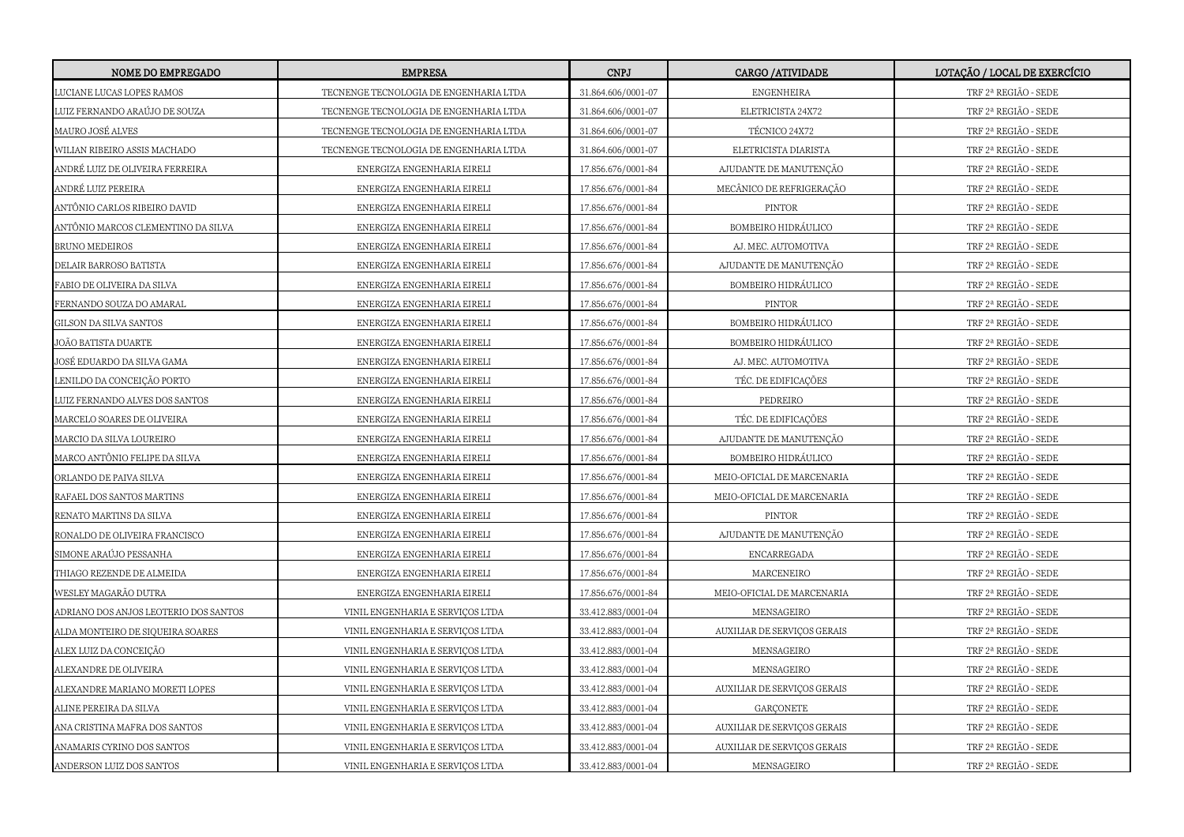| <b>NOME DO EMPREGADO</b>              | <b>EMPRESA</b>                         | <b>CNPJ</b>        | <b>CARGO /ATIVIDADE</b>     | LOTAÇÃO / LOCAL DE EXERCÍCIO |
|---------------------------------------|----------------------------------------|--------------------|-----------------------------|------------------------------|
| LUCIANE LUCAS LOPES RAMOS             | TECNENGE TECNOLOGIA DE ENGENHARIA LTDA | 31.864.606/0001-07 | <b>ENGENHEIRA</b>           | TRF 2ª REGIÃO - SEDE         |
| LUIZ FERNANDO ARAÚJO DE SOUZA         | TECNENGE TECNOLOGIA DE ENGENHARIA LTDA | 31.864.606/0001-07 | ELETRICISTA 24X72           | TRF 2ª REGIÃO - SEDE         |
| MAURO JOSÉ ALVES                      | TECNENGE TECNOLOGIA DE ENGENHARIA LTDA | 31.864.606/0001-07 | TÉCNICO 24X72               | TRF 2ª REGIÃO - SEDE         |
| WILIAN RIBEIRO ASSIS MACHADO          | TECNENGE TECNOLOGIA DE ENGENHARIA LTDA | 31.864.606/0001-07 | ELETRICISTA DIARISTA        | TRF 2ª REGIÃO - SEDE         |
| ANDRÉ LUIZ DE OLIVEIRA FERREIRA       | ENERGIZA ENGENHARIA EIRELI             | 17.856.676/0001-84 | AJUDANTE DE MANUTENÇÃO      | TRF 2ª REGIÃO - SEDE         |
| ANDRÉ LUIZ PEREIRA                    | ENERGIZA ENGENHARIA EIRELI             | 17.856.676/0001-84 | MECÂNICO DE REFRIGERAÇÃO    | TRF 2ª REGIÃO - SEDE         |
| ANTÔNIO CARLOS RIBEIRO DAVID          | ENERGIZA ENGENHARIA EIRELI             | 17.856.676/0001-84 | <b>PINTOR</b>               | TRF 2ª REGIÃO - SEDE         |
| ANTÔNIO MARCOS CLEMENTINO DA SILVA    | ENERGIZA ENGENHARIA EIRELI             | 17.856.676/0001-84 | BOMBEIRO HIDRÁULICO         | TRF 2ª REGIÃO - SEDE         |
| BRUNO MEDEIROS                        | ENERGIZA ENGENHARIA EIRELI             | 17.856.676/0001-84 | AJ. MEC. AUTOMOTIVA         | TRF 2ª REGIÃO - SEDE         |
| DELAIR BARROSO BATISTA                | ENERGIZA ENGENHARIA EIRELI             | 17.856.676/0001-84 | AJUDANTE DE MANUTENÇÃO      | TRF 2ª REGIÃO - SEDE         |
| FABIO DE OLIVEIRA DA SILVA            | ENERGIZA ENGENHARIA EIRELI             | 17.856.676/0001-84 | BOMBEIRO HIDRÁULICO         | TRF 2ª REGIÃO - SEDE         |
| FERNANDO SOUZA DO AMARAL              | ENERGIZA ENGENHARIA EIRELI             | 17.856.676/0001-84 | <b>PINTOR</b>               | TRF 2ª REGIÃO - SEDE         |
| GILSON DA SILVA SANTOS                | ENERGIZA ENGENHARIA EIRELI             | 17.856.676/0001-84 | BOMBEIRO HIDRÁULICO         | TRF 2ª REGIÃO - SEDE         |
| JOÃO BATISTA DUARTE                   | ENERGIZA ENGENHARIA EIRELI             | 17.856.676/0001-84 | BOMBEIRO HIDRÁULICO         | TRF 2ª REGIÃO - SEDE         |
| JOSÉ EDUARDO DA SILVA GAMA            | ENERGIZA ENGENHARIA EIRELI             | 17.856.676/0001-84 | AJ. MEC. AUTOMOTIVA         | TRF 2ª REGIÃO - SEDE         |
| LENILDO DA CONCEIÇÃO PORTO            | ENERGIZA ENGENHARIA EIRELI             | 17.856.676/0001-84 | TÉC. DE EDIFICAÇÕES         | TRF 2ª REGIÃO - SEDE         |
| LUIZ FERNANDO ALVES DOS SANTOS        | ENERGIZA ENGENHARIA EIRELI             | 17.856.676/0001-84 | PEDREIRO                    | TRF 2ª REGIÃO - SEDE         |
| MARCELO SOARES DE OLIVEIRA            | ENERGIZA ENGENHARIA EIRELI             | 17.856.676/0001-84 | TÉC. DE EDIFICAÇÕES         | TRF 2ª REGIÃO - SEDE         |
| MARCIO DA SILVA LOUREIRO              | ENERGIZA ENGENHARIA EIRELI             | 17.856.676/0001-84 | AJUDANTE DE MANUTENÇÃO      | TRF 2ª REGIÃO - SEDE         |
| MARCO ANTÔNIO FELIPE DA SILVA         | ENERGIZA ENGENHARIA EIRELI             | 17.856.676/0001-84 | BOMBEIRO HIDRÁULICO         | TRF 2ª REGIÃO - SEDE         |
| ORLANDO DE PAIVA SILVA                | ENERGIZA ENGENHARIA EIRELI             | 17.856.676/0001-84 | MEIO-OFICIAL DE MARCENARIA  | TRF 2ª REGIÃO - SEDE         |
| RAFAEL DOS SANTOS MARTINS             | ENERGIZA ENGENHARIA EIRELI             | 17.856.676/0001-84 | MEIO-OFICIAL DE MARCENARIA  | TRF 2ª REGIÃO - SEDE         |
| RENATO MARTINS DA SILVA               | ENERGIZA ENGENHARIA EIRELI             | 17.856.676/0001-84 | <b>PINTOR</b>               | TRF 2ª REGIÃO - SEDE         |
| RONALDO DE OLIVEIRA FRANCISCO         | ENERGIZA ENGENHARIA EIRELI             | 17.856.676/0001-84 | AJUDANTE DE MANUTENÇÃO      | TRF 2ª REGIÃO - SEDE         |
| SIMONE ARAÚJO PESSANHA                | ENERGIZA ENGENHARIA EIRELI             | 17.856.676/0001-84 | ENCARREGADA                 | TRF 2ª REGIÃO - SEDE         |
| THIAGO REZENDE DE ALMEIDA             | ENERGIZA ENGENHARIA EIRELI             | 17.856.676/0001-84 | MARCENEIRO                  | TRF 2ª REGIÃO - SEDE         |
| WESLEY MAGARÃO DUTRA                  | ENERGIZA ENGENHARIA EIRELI             | 17.856.676/0001-84 | MEIO-OFICIAL DE MARCENARIA  | TRF 2ª REGIÃO - SEDE         |
| ADRIANO DOS ANJOS LEOTERIO DOS SANTOS | VINIL ENGENHARIA E SERVIÇOS LTDA       | 33.412.883/0001-04 | MENSAGEIRO                  | TRF 2ª REGIÃO - SEDE         |
| ALDA MONTEIRO DE SIQUEIRA SOARES      | VINIL ENGENHARIA E SERVIÇOS LTDA       | 33.412.883/0001-04 | AUXILIAR DE SERVIÇOS GERAIS | TRF 2ª REGIÃO - SEDE         |
| ALEX LUIZ DA CONCEIÇÃO                | VINIL ENGENHARIA E SERVIÇOS LTDA       | 33.412.883/0001-04 | MENSAGEIRO                  | TRF 2ª REGIÃO - SEDE         |
| ALEXANDRE DE OLIVEIRA                 | VINIL ENGENHARIA E SERVIÇOS LTDA       | 33.412.883/0001-04 | MENSAGEIRO                  | TRF 2ª REGIÃO - SEDE         |
| ALEXANDRE MARIANO MORETI LOPES        | VINIL ENGENHARIA E SERVIÇOS LTDA       | 33.412.883/0001-04 | AUXILIAR DE SERVIÇOS GERAIS | TRF 2ª REGIÃO - SEDE         |
| ALINE PEREIRA DA SILVA                | VINIL ENGENHARIA E SERVIÇOS LTDA       | 33.412.883/0001-04 | <b>GARÇONETE</b>            | TRF 2ª REGIÃO - SEDE         |
| ANA CRISTINA MAFRA DOS SANTOS         | VINIL ENGENHARIA E SERVIÇOS LTDA       | 33.412.883/0001-04 | AUXILIAR DE SERVIÇOS GERAIS | TRF 2ª REGIÃO - SEDE         |
| ANAMARIS CYRINO DOS SANTOS            | VINIL ENGENHARIA E SERVIÇOS LTDA       | 33.412.883/0001-04 | AUXILIAR DE SERVIÇOS GERAIS | TRF 2ª REGIÃO - SEDE         |
| ANDERSON LUIZ DOS SANTOS              | VINIL ENGENHARIA E SERVIÇOS LTDA       | 33.412.883/0001-04 | MENSAGEIRO                  | TRF 2ª REGIÃO - SEDE         |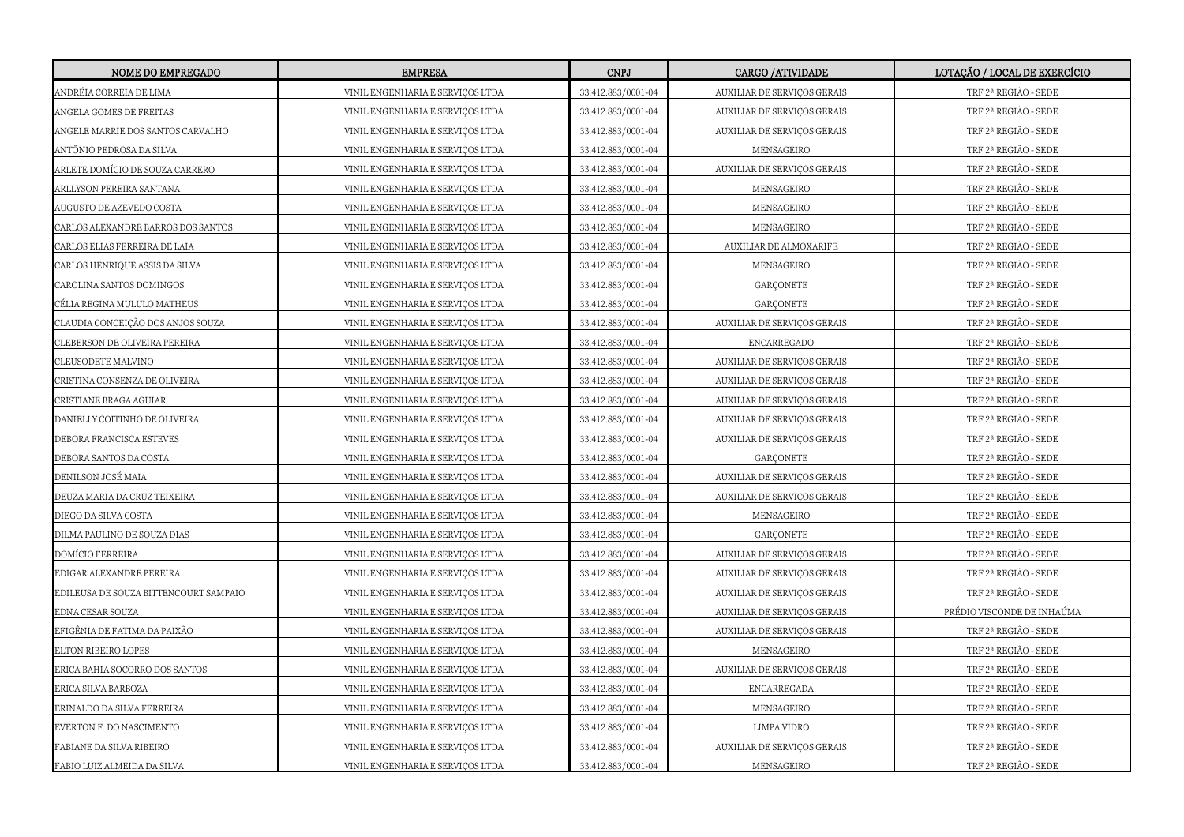| <b>NOME DO EMPREGADO</b>              | <b>EMPRESA</b>                   | <b>CNPJ</b>        | <b>CARGO /ATIVIDADE</b>     | LOTAÇÃO / LOCAL DE EXERCÍCIO |
|---------------------------------------|----------------------------------|--------------------|-----------------------------|------------------------------|
| ANDRÉIA CORREIA DE LIMA               | VINIL ENGENHARIA E SERVIÇOS LTDA | 33.412.883/0001-04 | AUXILIAR DE SERVIÇOS GERAIS | TRF 2ª REGIÃO - SEDE         |
| ANGELA GOMES DE FREITAS               | VINIL ENGENHARIA E SERVIÇOS LTDA | 33.412.883/0001-04 | AUXILIAR DE SERVIÇOS GERAIS | TRF 2ª REGIÃO - SEDE         |
| ANGELE MARRIE DOS SANTOS CARVALHO     | VINIL ENGENHARIA E SERVIÇOS LTDA | 33.412.883/0001-04 | AUXILIAR DE SERVIÇOS GERAIS | TRF 2ª REGIÃO - SEDE         |
| ANTÔNIO PEDROSA DA SILVA              | VINIL ENGENHARIA E SERVIÇOS LTDA | 33.412.883/0001-04 | MENSAGEIRO                  | TRF 2ª REGIÃO - SEDE         |
| ARLETE DOMÍCIO DE SOUZA CARRERO       | VINIL ENGENHARIA E SERVIÇOS LTDA | 33.412.883/0001-04 | AUXILIAR DE SERVIÇOS GERAIS | TRF 2ª REGIÃO - SEDE         |
| ARLLYSON PEREIRA SANTANA              | VINIL ENGENHARIA E SERVIÇOS LTDA | 33.412.883/0001-04 | MENSAGEIRO                  | TRF 2ª REGIÃO - SEDE         |
| AUGUSTO DE AZEVEDO COSTA              | VINIL ENGENHARIA E SERVIÇOS LTDA | 33.412.883/0001-04 | MENSAGEIRO                  | TRF 2ª REGIÃO - SEDE         |
| CARLOS ALEXANDRE BARROS DOS SANTOS    | VINIL ENGENHARIA E SERVIÇOS LTDA | 33.412.883/0001-04 | MENSAGEIRO                  | TRF 2ª REGIÃO - SEDE         |
| CARLOS ELIAS FERREIRA DE LAIA         | VINIL ENGENHARIA E SERVIÇOS LTDA | 33.412.883/0001-04 | AUXILIAR DE ALMOXARIFE      | TRF 2ª REGIÃO - SEDE         |
| CARLOS HENRIQUE ASSIS DA SILVA        | VINIL ENGENHARIA E SERVIÇOS LTDA | 33.412.883/0001-04 | MENSAGEIRO                  | TRF 2ª REGIÃO - SEDE         |
| CAROLINA SANTOS DOMINGOS              | VINIL ENGENHARIA E SERVICOS LTDA | 33.412.883/0001-04 | <b>GARCONETE</b>            | TRF 2ª REGIÃO - SEDE         |
| CÉLIA REGINA MULULO MATHEUS           | VINIL ENGENHARIA E SERVIÇOS LTDA | 33.412.883/0001-04 | <b>GARÇONETE</b>            | TRF 2ª REGIÃO - SEDE         |
| CLAUDIA CONCEIÇÃO DOS ANJOS SOUZA     | VINIL ENGENHARIA E SERVIÇOS LTDA | 33.412.883/0001-04 | AUXILIAR DE SERVIÇOS GERAIS | TRF 2ª REGIÃO - SEDE         |
| CLEBERSON DE OLIVEIRA PEREIRA         | VINIL ENGENHARIA E SERVIÇOS LTDA | 33.412.883/0001-04 | <b>ENCARREGADO</b>          | TRF 2ª REGIÃO - SEDE         |
| CLEUSODETE MALVINO                    | VINIL ENGENHARIA E SERVIÇOS LTDA | 33.412.883/0001-04 | AUXILIAR DE SERVIÇOS GERAIS | TRF 2ª REGIÃO - SEDE         |
| CRISTINA CONSENZA DE OLIVEIRA         | VINIL ENGENHARIA E SERVICOS LTDA | 33.412.883/0001-04 | AUXILIAR DE SERVIÇOS GERAIS | TRF 2ª REGIÃO - SEDE         |
| CRISTIANE BRAGA AGUIAR                | VINIL ENGENHARIA E SERVIÇOS LTDA | 33.412.883/0001-04 | AUXILIAR DE SERVIÇOS GERAIS | TRF 2ª REGIÃO - SEDE         |
| DANIELLY COITINHO DE OLIVEIRA         | VINIL ENGENHARIA E SERVIÇOS LTDA | 33.412.883/0001-04 | AUXILIAR DE SERVIÇOS GERAIS | TRF 2ª REGIÃO - SEDE         |
| DEBORA FRANCISCA ESTEVES              | VINIL ENGENHARIA E SERVIÇOS LTDA | 33.412.883/0001-04 | AUXILIAR DE SERVIÇOS GERAIS | TRF 2ª REGIÃO - SEDE         |
| DEBORA SANTOS DA COSTA                | VINIL ENGENHARIA E SERVIÇOS LTDA | 33.412.883/0001-04 | <b>GARÇONETE</b>            | TRF 2ª REGIÃO - SEDE         |
| DENILSON JOSÉ MAIA                    | VINIL ENGENHARIA E SERVIÇOS LTDA | 33.412.883/0001-04 | AUXILIAR DE SERVIÇOS GERAIS | TRF 2ª REGIÃO - SEDE         |
| DEUZA MARIA DA CRUZ TEIXEIRA          | VINIL ENGENHARIA E SERVIÇOS LTDA | 33.412.883/0001-04 | AUXILIAR DE SERVIÇOS GERAIS | TRF 2ª REGIÃO - SEDE         |
| DIEGO DA SILVA COSTA                  | VINIL ENGENHARIA E SERVIÇOS LTDA | 33.412.883/0001-04 | MENSAGEIRO                  | TRF 2ª REGIÃO - SEDE         |
| DILMA PAULINO DE SOUZA DIAS           | VINIL ENGENHARIA E SERVIÇOS LTDA | 33.412.883/0001-04 | <b>GARÇONETE</b>            | TRF 2ª REGIÃO - SEDE         |
| DOMÍCIO FERREIRA                      | VINIL ENGENHARIA E SERVIÇOS LTDA | 33.412.883/0001-04 | AUXILIAR DE SERVIÇOS GERAIS | TRF 2ª REGIÃO - SEDE         |
| EDIGAR ALEXANDRE PEREIRA              | VINIL ENGENHARIA E SERVIÇOS LTDA | 33.412.883/0001-04 | AUXILIAR DE SERVIÇOS GERAIS | TRF 2ª REGIÃO - SEDE         |
| EDILEUSA DE SOUZA BITTENCOURT SAMPAIO | VINIL ENGENHARIA E SERVIÇOS LTDA | 33.412.883/0001-04 | AUXILIAR DE SERVIÇOS GERAIS | TRF 2ª REGIÃO - SEDE         |
| EDNA CESAR SOUZA                      | VINIL ENGENHARIA E SERVIÇOS LTDA | 33.412.883/0001-04 | AUXILIAR DE SERVIÇOS GERAIS | PRÉDIO VISCONDE DE INHAÚMA   |
| EFIGÊNIA DE FATIMA DA PAIXÃO          | VINIL ENGENHARIA E SERVIÇOS LTDA | 33.412.883/0001-04 | AUXILIAR DE SERVIÇOS GERAIS | TRF 2ª REGIÃO - SEDE         |
| ELTON RIBEIRO LOPES                   | VINIL ENGENHARIA E SERVIÇOS LTDA | 33.412.883/0001-04 | MENSAGEIRO                  | TRF 2ª REGIÃO - SEDE         |
| ERICA BAHIA SOCORRO DOS SANTOS        | VINIL ENGENHARIA E SERVIÇOS LTDA | 33.412.883/0001-04 | AUXILIAR DE SERVIÇOS GERAIS | TRF 2ª REGIÃO - SEDE         |
| ERICA SILVA BARBOZA                   | VINIL ENGENHARIA E SERVIÇOS LTDA | 33.412.883/0001-04 | ENCARREGADA                 | TRF 2ª REGIÃO - SEDE         |
| ERINALDO DA SILVA FERREIRA            | VINIL ENGENHARIA E SERVIÇOS LTDA | 33.412.883/0001-04 | MENSAGEIRO                  | TRF 2ª REGIÃO - SEDE         |
| EVERTON F. DO NASCIMENTO              | VINIL ENGENHARIA E SERVIÇOS LTDA | 33.412.883/0001-04 | LIMPA VIDRO                 | TRF 2ª REGIÃO - SEDE         |
| FABIANE DA SILVA RIBEIRO              | VINIL ENGENHARIA E SERVIÇOS LTDA | 33.412.883/0001-04 | AUXILIAR DE SERVIÇOS GERAIS | TRF 2ª REGIÃO - SEDE         |
| FABIO LUIZ ALMEIDA DA SILVA           | VINIL ENGENHARIA E SERVIÇOS LTDA | 33.412.883/0001-04 | MENSAGEIRO                  | TRF 2ª REGIÃO - SEDE         |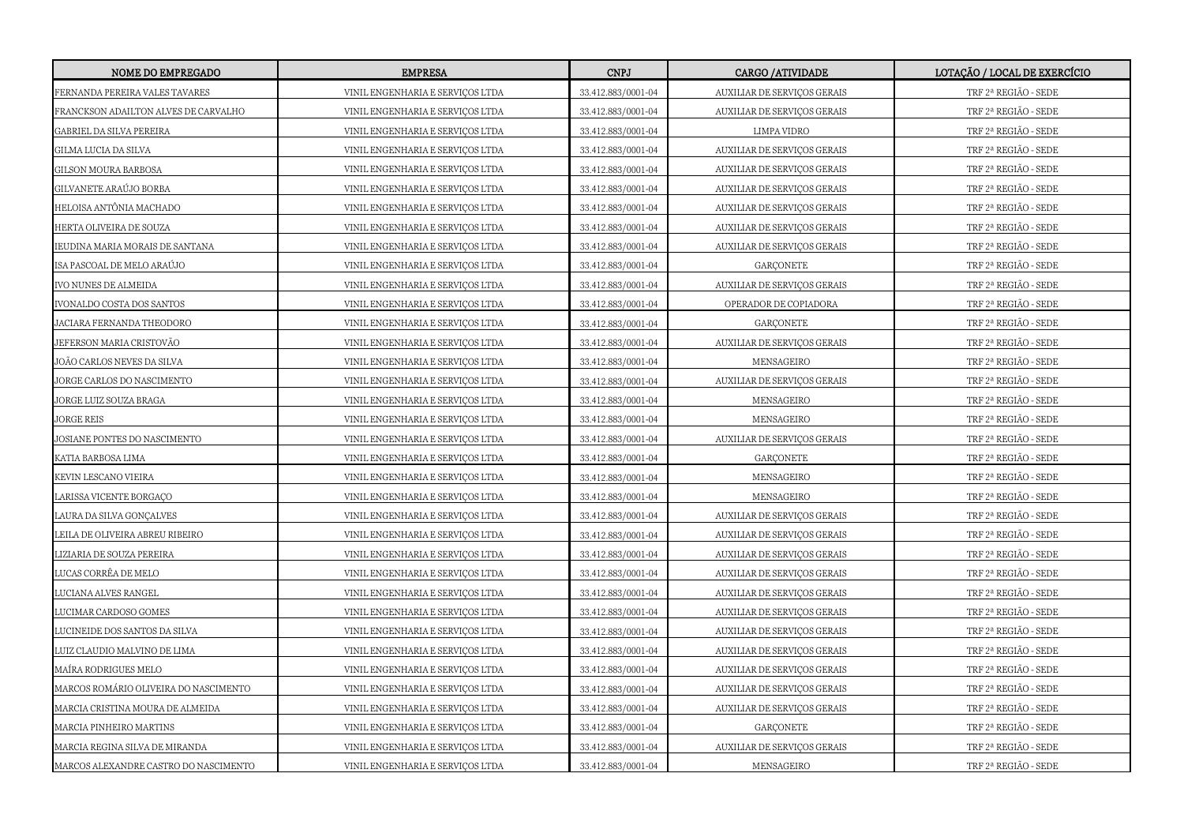| <b>NOME DO EMPREGADO</b>              | <b>EMPRESA</b>                   | <b>CNPJ</b>        | CARGO / ATIVIDADE           | LOTAÇÃO / LOCAL DE EXERCÍCIO                                                                  |
|---------------------------------------|----------------------------------|--------------------|-----------------------------|-----------------------------------------------------------------------------------------------|
| FERNANDA PEREIRA VALES TAVARES        | VINIL ENGENHARIA E SERVIÇOS LTDA | 33.412.883/0001-04 | AUXILIAR DE SERVIÇOS GERAIS | TRF 2ª REGIÃO - SEDE                                                                          |
| FRANCKSON ADAILTON ALVES DE CARVALHO  | VINIL ENGENHARIA E SERVIÇOS LTDA | 33.412.883/0001-04 | AUXILIAR DE SERVIÇOS GERAIS | TRF 2ª REGIÃO - SEDE                                                                          |
| GABRIEL DA SILVA PEREIRA              | VINIL ENGENHARIA E SERVIÇOS LTDA | 33.412.883/0001-04 | LIMPA VIDRO                 | TRF 2ª REGIÃO - SEDE                                                                          |
| GILMA LUCIA DA SILVA                  | VINIL ENGENHARIA E SERVIÇOS LTDA | 33.412.883/0001-04 | AUXILIAR DE SERVIÇOS GERAIS | $\operatorname{TRF}2^{\operatorname{a}}\operatorname{REGI\tilde{A}O}$ - $\operatorname{SEDE}$ |
| GILSON MOURA BARBOSA                  | VINIL ENGENHARIA E SERVIÇOS LTDA | 33.412.883/0001-04 | AUXILIAR DE SERVIÇOS GERAIS | TRF 2ª REGIÃO - SEDE                                                                          |
| GILVANETE ARAÚJO BORBA                | VINIL ENGENHARIA E SERVIÇOS LTDA | 33.412.883/0001-04 | AUXILIAR DE SERVIÇOS GERAIS | TRF 2ª REGIÃO - SEDE                                                                          |
| HELOISA ANTÔNIA MACHADO               | VINIL ENGENHARIA E SERVIÇOS LTDA | 33.412.883/0001-04 | AUXILIAR DE SERVIÇOS GERAIS | TRF 2ª REGIÃO - SEDE                                                                          |
| HERTA OLIVEIRA DE SOUZA               | VINIL ENGENHARIA E SERVIÇOS LTDA | 33.412.883/0001-04 | AUXILIAR DE SERVIÇOS GERAIS | TRF 2ª REGIÃO - SEDE                                                                          |
| IEUDINA MARIA MORAIS DE SANTANA       | VINIL ENGENHARIA E SERVIÇOS LTDA | 33.412.883/0001-04 | AUXILIAR DE SERVIÇOS GERAIS | TRF 2ª REGIÃO - SEDE                                                                          |
| ISA PASCOAL DE MELO ARAÚJO            | VINIL ENGENHARIA E SERVIÇOS LTDA | 33.412.883/0001-04 | <b>GARÇONETE</b>            | TRF 2ª REGIÃO - SEDE                                                                          |
| IVO NUNES DE ALMEIDA                  | VINIL ENGENHARIA E SERVICOS LTDA | 33.412.883/0001-04 | AUXILIAR DE SERVIÇOS GERAIS | TRF 2ª REGIÃO - SEDE                                                                          |
| IVONALDO COSTA DOS SANTOS             | VINIL ENGENHARIA E SERVIÇOS LTDA | 33.412.883/0001-04 | OPERADOR DE COPIADORA       | TRF 2ª REGIÃO - SEDE                                                                          |
| JACIARA FERNANDA THEODORO             | VINIL ENGENHARIA E SERVIÇOS LTDA | 33.412.883/0001-04 | GARÇONETE                   | TRF 2ª REGIÃO - SEDE                                                                          |
| JEFERSON MARIA CRISTOVÃO              | VINIL ENGENHARIA E SERVIÇOS LTDA | 33.412.883/0001-04 | AUXILIAR DE SERVIÇOS GERAIS | TRF 2ª REGIÃO - SEDE                                                                          |
| JOÃO CARLOS NEVES DA SILVA            | VINIL ENGENHARIA E SERVIÇOS LTDA | 33.412.883/0001-04 | MENSAGEIRO                  | TRF 2ª REGIÃO - SEDE                                                                          |
| JORGE CARLOS DO NASCIMENTO            | VINIL ENGENHARIA E SERVICOS LTDA | 33.412.883/0001-04 | AUXILIAR DE SERVIÇOS GERAIS | TRF 2ª REGIÃO - SEDE                                                                          |
| JORGE LUIZ SOUZA BRAGA                | VINIL ENGENHARIA E SERVIÇOS LTDA | 33.412.883/0001-04 | MENSAGEIRO                  | TRF 2ª REGIÃO - SEDE                                                                          |
| JORGE REIS                            | VINIL ENGENHARIA E SERVIÇOS LTDA | 33.412.883/0001-04 | MENSAGEIRO                  | TRF 2ª REGIÃO - SEDE                                                                          |
| JOSIANE PONTES DO NASCIMENTO          | VINIL ENGENHARIA E SERVIÇOS LTDA | 33.412.883/0001-04 | AUXILIAR DE SERVIÇOS GERAIS | TRF 2ª REGIÃO - SEDE                                                                          |
| KATIA BARBOSA LIMA                    | VINIL ENGENHARIA E SERVIÇOS LTDA | 33.412.883/0001-04 | <b>GARÇONETE</b>            | TRF 2ª REGIÃO - SEDE                                                                          |
| KEVIN LESCANO VIEIRA                  | VINIL ENGENHARIA E SERVIÇOS LTDA | 33.412.883/0001-04 | MENSAGEIRO                  | TRF 2ª REGIÃO - SEDE                                                                          |
| LARISSA VICENTE BORGAÇO               | VINIL ENGENHARIA E SERVIÇOS LTDA | 33.412.883/0001-04 | MENSAGEIRO                  | TRF 2ª REGIÃO - SEDE                                                                          |
| LAURA DA SILVA GONÇALVES              | VINIL ENGENHARIA E SERVIÇOS LTDA | 33.412.883/0001-04 | AUXILIAR DE SERVIÇOS GERAIS | TRF 2ª REGIÃO - SEDE                                                                          |
| LEILA DE OLIVEIRA ABREU RIBEIRO       | VINIL ENGENHARIA E SERVIÇOS LTDA | 33.412.883/0001-04 | AUXILIAR DE SERVIÇOS GERAIS | TRF 2ª REGIÃO - SEDE                                                                          |
| LIZIARIA DE SOUZA PEREIRA             | VINIL ENGENHARIA E SERVICOS LTDA | 33.412.883/0001-04 | AUXILIAR DE SERVIÇOS GERAIS | TRF 2ª REGIÃO - SEDE                                                                          |
| LUCAS CORRÊA DE MELO                  | VINIL ENGENHARIA E SERVIÇOS LTDA | 33.412.883/0001-04 | AUXILIAR DE SERVIÇOS GERAIS | TRF 2ª REGIÃO - SEDE                                                                          |
| LUCIANA ALVES RANGEL                  | VINIL ENGENHARIA E SERVIÇOS LTDA | 33.412.883/0001-04 | AUXILIAR DE SERVIÇOS GERAIS | TRF 2ª REGIÃO - SEDE                                                                          |
| LUCIMAR CARDOSO GOMES                 | VINIL ENGENHARIA E SERVIÇOS LTDA | 33.412.883/0001-04 | AUXILIAR DE SERVIÇOS GERAIS | TRF 2ª REGIÃO - SEDE                                                                          |
| LUCINEIDE DOS SANTOS DA SILVA         | VINIL ENGENHARIA E SERVIÇOS LTDA | 33.412.883/0001-04 | AUXILIAR DE SERVIÇOS GERAIS | TRF 2ª REGIÃO - SEDE                                                                          |
| LUIZ CLAUDIO MALVINO DE LIMA          | VINIL ENGENHARIA E SERVIÇOS LTDA | 33.412.883/0001-04 | AUXILIAR DE SERVIÇOS GERAIS | TRF 2ª REGIÃO - SEDE                                                                          |
| MAÍRA RODRIGUES MELO                  | VINIL ENGENHARIA E SERVIÇOS LTDA | 33.412.883/0001-04 | AUXILIAR DE SERVIÇOS GERAIS | TRF 2ª REGIÃO - SEDE                                                                          |
| MARCOS ROMÁRIO OLIVEIRA DO NASCIMENTO | VINIL ENGENHARIA E SERVIÇOS LTDA | 33.412.883/0001-04 | AUXILIAR DE SERVIÇOS GERAIS | TRF 2ª REGIÃO - SEDE                                                                          |
| MARCIA CRISTINA MOURA DE ALMEIDA      | VINIL ENGENHARIA E SERVIÇOS LTDA | 33.412.883/0001-04 | AUXILIAR DE SERVIÇOS GERAIS | TRF 2ª REGIÃO - SEDE                                                                          |
| MARCIA PINHEIRO MARTINS               | VINIL ENGENHARIA E SERVIÇOS LTDA | 33.412.883/0001-04 | GARÇONETE                   | TRF 2ª REGIÃO - SEDE                                                                          |
| MARCIA REGINA SILVA DE MIRANDA        | VINIL ENGENHARIA E SERVIÇOS LTDA | 33.412.883/0001-04 | AUXILIAR DE SERVIÇOS GERAIS | TRF 2ª REGIÃO - SEDE                                                                          |
| MARCOS ALEXANDRE CASTRO DO NASCIMENTO | VINIL ENGENHARIA E SERVIÇOS LTDA | 33.412.883/0001-04 | MENSAGEIRO                  | TRF 2ª REGIÃO - SEDE                                                                          |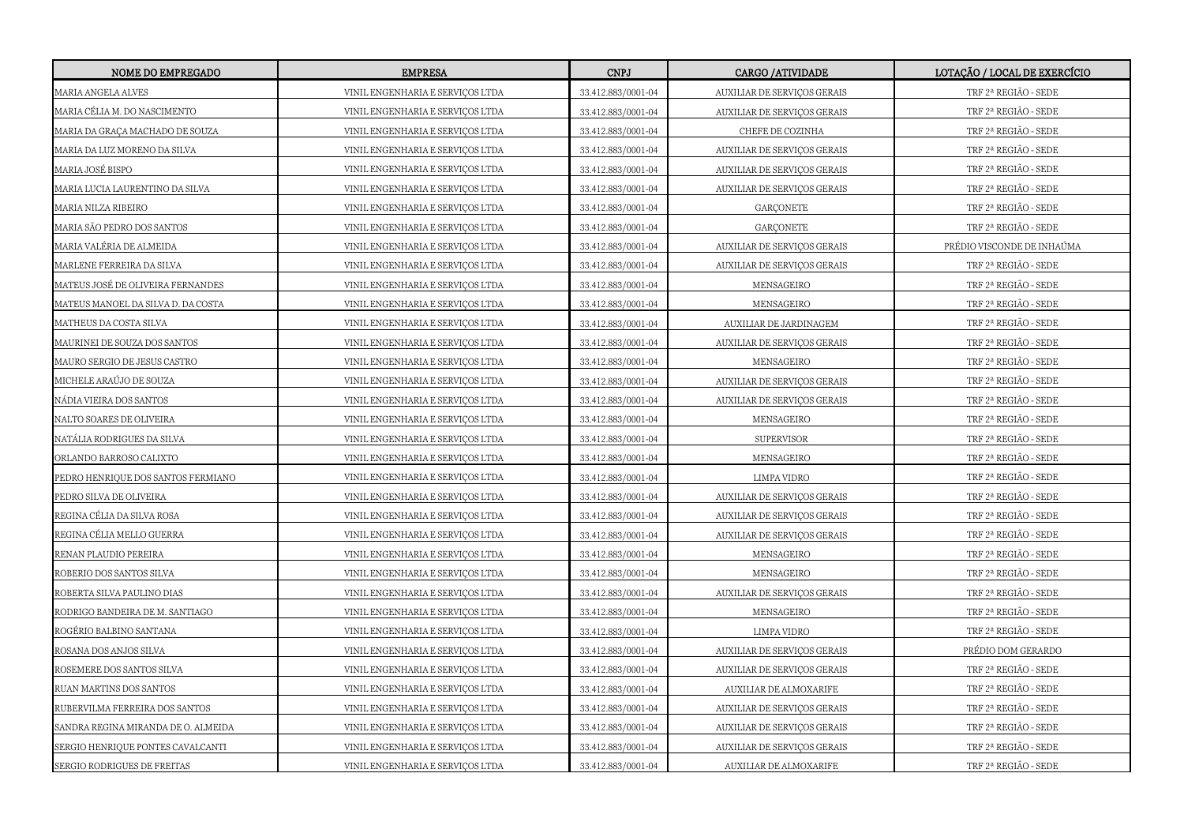| <b>NOME DO EMPREGADO</b>            | <b>EMPRESA</b>                   | <b>CNPJ</b>        | <b>CARGO /ATIVIDADE</b>     | LOTAÇÃO / LOCAL DE EXERCÍCIO |
|-------------------------------------|----------------------------------|--------------------|-----------------------------|------------------------------|
| MARIA ANGELA ALVES                  | VINIL ENGENHARIA E SERVIÇOS LTDA | 33.412.883/0001-04 | AUXILIAR DE SERVIÇOS GERAIS | TRF 2ª REGIÃO - SEDE         |
| MARIA CÉLIA M. DO NASCIMENTO        | VINIL ENGENHARIA E SERVIÇOS LTDA | 33.412.883/0001-04 | AUXILIAR DE SERVIÇOS GERAIS | TRF 2ª REGIÃO - SEDE         |
| MARIA DA GRAÇA MACHADO DE SOUZA     | VINIL ENGENHARIA E SERVIÇOS LTDA | 33.412.883/0001-04 | CHEFE DE COZINHA            | TRF 2ª REGIÃO - SEDE         |
| MARIA DA LUZ MORENO DA SILVA        | VINIL ENGENHARIA E SERVIÇOS LTDA | 33.412.883/0001-04 | AUXILIAR DE SERVIÇOS GERAIS | TRF 2ª REGIÃO - SEDE         |
| MARIA JOSÉ BISPO                    | VINIL ENGENHARIA E SERVIÇOS LTDA | 33.412.883/0001-04 | AUXILIAR DE SERVIÇOS GERAIS | TRF 2ª REGIÃO - SEDE         |
| MARIA LUCIA LAURENTINO DA SILVA     | VINIL ENGENHARIA E SERVIÇOS LTDA | 33.412.883/0001-04 | AUXILIAR DE SERVIÇOS GERAIS | TRF 2ª REGIÃO - SEDE         |
| MARIA NILZA RIBEIRO                 | VINIL ENGENHARIA E SERVIÇOS LTDA | 33.412.883/0001-04 | <b>GARÇONETE</b>            | TRF 2ª REGIÃO - SEDE         |
| MARIA SÃO PEDRO DOS SANTOS          | VINIL ENGENHARIA E SERVIÇOS LTDA | 33.412.883/0001-04 | <b>GARCONETE</b>            | TRF 2ª REGIÃO - SEDE         |
| MARIA VALÉRIA DE ALMEIDA            | VINIL ENGENHARIA E SERVIÇOS LTDA | 33.412.883/0001-04 | AUXILIAR DE SERVIÇOS GERAIS | PRÉDIO VISCONDE DE INHAÚMA   |
| MARLENE FERREIRA DA SILVA           | VINIL ENGENHARIA E SERVIÇOS LTDA | 33.412.883/0001-04 | AUXILIAR DE SERVIÇOS GERAIS | TRF 2ª REGIÃO - SEDE         |
| MATEUS JOSÉ DE OLIVEIRA FERNANDES   | VINIL ENGENHARIA E SERVIÇOS LTDA | 33.412.883/0001-04 | MENSAGEIRO                  | TRF 2ª REGIÃO - SEDE         |
| MATEUS MANOEL DA SILVA D. DA COSTA  | VINIL ENGENHARIA E SERVIÇOS LTDA | 33.412.883/0001-04 | MENSAGEIRO                  | TRF 2ª REGIÃO - SEDE         |
| MATHEUS DA COSTA SILVA              | VINIL ENGENHARIA E SERVIÇOS LTDA | 33.412.883/0001-04 | AUXILIAR DE JARDINAGEM      | TRF 2ª REGIÃO - SEDE         |
| MAURINEI DE SOUZA DOS SANTOS        | VINIL ENGENHARIA E SERVIÇOS LTDA | 33.412.883/0001-04 | AUXILIAR DE SERVIÇOS GERAIS | TRF 2ª REGIÃO - SEDE         |
| MAURO SERGIO DE JESUS CASTRO        | VINIL ENGENHARIA E SERVICOS LTDA | 33.412.883/0001-04 | MENSAGEIRO                  | TRF 2ª REGIÃO - SEDE         |
| MICHELE ARAÚJO DE SOUZA             | VINIL ENGENHARIA E SERVIÇOS LTDA | 33.412.883/0001-04 | AUXILIAR DE SERVIÇOS GERAIS | TRF 2ª REGIÃO - SEDE         |
| NÁDIA VIEIRA DOS SANTOS             | VINIL ENGENHARIA E SERVIÇOS LTDA | 33.412.883/0001-04 | AUXILIAR DE SERVIÇOS GERAIS | TRF 2ª REGIÃO - SEDE         |
| NALTO SOARES DE OLIVEIRA            | VINIL ENGENHARIA E SERVIÇOS LTDA | 33.412.883/0001-04 | MENSAGEIRO                  | TRF 2ª REGIÃO - SEDE         |
| NATÁLIA RODRIGUES DA SILVA          | VINIL ENGENHARIA E SERVIÇOS LTDA | 33.412.883/0001-04 | SUPERVISOR                  | TRF 2ª REGIÃO - SEDE         |
| ORLANDO BARROSO CALIXTO             | VINIL ENGENHARIA E SERVIÇOS LTDA | 33.412.883/0001-04 | MENSAGEIRO                  | TRF 2ª REGIÃO - SEDE         |
| PEDRO HENRIQUE DOS SANTOS FERMIANO  | VINIL ENGENHARIA E SERVIÇOS LTDA | 33.412.883/0001-04 | LIMPA VIDRO                 | TRF 2ª REGIÃO - SEDE         |
| PEDRO SILVA DE OLIVEIRA             | VINIL ENGENHARIA E SERVICOS LTDA | 33.412.883/0001-04 | AUXILIAR DE SERVIÇOS GERAIS | TRF 2ª REGIÃO - SEDE         |
| REGINA CÉLIA DA SILVA ROSA          | VINIL ENGENHARIA E SERVIÇOS LTDA | 33.412.883/0001-04 | AUXILIAR DE SERVIÇOS GERAIS | TRF 2ª REGIÃO - SEDE         |
| REGINA CÉLIA MELLO GUERRA           | VINIL ENGENHARIA E SERVIÇOS LTDA | 33.412.883/0001-04 | AUXILIAR DE SERVIÇOS GERAIS | TRF 2ª REGIÃO - SEDE         |
| RENAN PLAUDIO PEREIRA               | VINIL ENGENHARIA E SERVIÇOS LTDA | 33.412.883/0001-04 | MENSAGEIRO                  | TRF 2ª REGIÃO - SEDE         |
| ROBERIO DOS SANTOS SILVA            | VINIL ENGENHARIA E SERVIÇOS LTDA | 33.412.883/0001-04 | MENSAGEIRO                  | TRF 2ª REGIÃO - SEDE         |
| ROBERTA SILVA PAULINO DIAS          | VINIL ENGENHARIA E SERVIÇOS LTDA | 33.412.883/0001-04 | AUXILIAR DE SERVIÇOS GERAIS | TRF 2ª REGIÃO - SEDE         |
| RODRIGO BANDEIRA DE M. SANTIAGO     | VINIL ENGENHARIA E SERVIÇOS LTDA | 33.412.883/0001-04 | MENSAGEIRO                  | TRF 2ª REGIÃO - SEDE         |
| ROGÉRIO BALBINO SANTANA             | VINIL ENGENHARIA E SERVIÇOS LTDA | 33.412.883/0001-04 | LIMPA VIDRO                 | TRF 2ª REGIÃO - SEDE         |
| ROSANA DOS ANJOS SILVA              | VINIL ENGENHARIA E SERVIÇOS LTDA | 33.412.883/0001-04 | AUXILIAR DE SERVIÇOS GERAIS | PRÉDIO DOM GERARDO           |
| ROSEMERE DOS SANTOS SILVA           | VINIL ENGENHARIA E SERVIÇOS LTDA | 33.412.883/0001-04 | AUXILIAR DE SERVICOS GERAIS | TRF 2ª REGIÃO - SEDE         |
| RUAN MARTINS DOS SANTOS             | VINIL ENGENHARIA E SERVIÇOS LTDA | 33.412.883/0001-04 | AUXILIAR DE ALMOXARIFE      | TRF 2ª REGIÃO - SEDE         |
| RUBERVILMA FERREIRA DOS SANTOS      | VINIL ENGENHARIA E SERVIÇOS LTDA | 33.412.883/0001-04 | AUXILIAR DE SERVIÇOS GERAIS | TRF 2ª REGIÃO - SEDE         |
| SANDRA REGINA MIRANDA DE O. ALMEIDA | VINIL ENGENHARIA E SERVIÇOS LTDA | 33.412.883/0001-04 | AUXILIAR DE SERVIÇOS GERAIS | TRF 2ª REGIÃO - SEDE         |
| SERGIO HENRIQUE PONTES CAVALCANTI   | VINIL ENGENHARIA E SERVIÇOS LTDA | 33.412.883/0001-04 | AUXILIAR DE SERVIÇOS GERAIS | TRF 2ª REGIÃO - SEDE         |
| SERGIO RODRIGUES DE FREITAS         | VINIL ENGENHARIA E SERVIÇOS LTDA | 33.412.883/0001-04 | AUXILIAR DE ALMOXARIFE      | TRF 2ª REGIÃO - SEDE         |